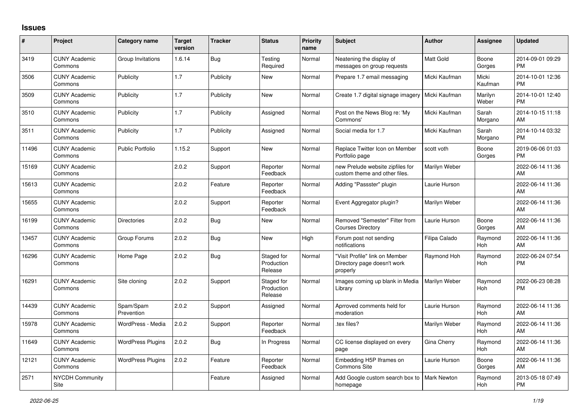## **Issues**

| #     | Project                         | <b>Category name</b>     | <b>Target</b><br>version | <b>Tracker</b> | <b>Status</b>                       | <b>Priority</b><br>name | <b>Subject</b>                                                            | <b>Author</b>      | <b>Assignee</b>       | <b>Updated</b>                |
|-------|---------------------------------|--------------------------|--------------------------|----------------|-------------------------------------|-------------------------|---------------------------------------------------------------------------|--------------------|-----------------------|-------------------------------|
| 3419  | <b>CUNY Academic</b><br>Commons | Group Invitations        | 1.6.14                   | Bug            | Testing<br>Required                 | Normal                  | Neatening the display of<br>messages on group requests                    | <b>Matt Gold</b>   | Boone<br>Gorges       | 2014-09-01 09:29<br><b>PM</b> |
| 3506  | <b>CUNY Academic</b><br>Commons | Publicity                | 1.7                      | Publicity      | New                                 | Normal                  | Prepare 1.7 email messaging                                               | Micki Kaufman      | Micki<br>Kaufman      | 2014-10-01 12:36<br><b>PM</b> |
| 3509  | <b>CUNY Academic</b><br>Commons | Publicity                | 1.7                      | Publicity      | <b>New</b>                          | Normal                  | Create 1.7 digital signage imagery                                        | Micki Kaufman      | Marilyn<br>Weber      | 2014-10-01 12:40<br><b>PM</b> |
| 3510  | <b>CUNY Academic</b><br>Commons | Publicity                | 1.7                      | Publicity      | Assigned                            | Normal                  | Post on the News Blog re: 'My<br>Commons'                                 | Micki Kaufman      | Sarah<br>Morgano      | 2014-10-15 11:18<br>AM        |
| 3511  | <b>CUNY Academic</b><br>Commons | Publicity                | 1.7                      | Publicity      | Assigned                            | Normal                  | Social media for 1.7                                                      | Micki Kaufman      | Sarah<br>Morgano      | 2014-10-14 03:32<br><b>PM</b> |
| 11496 | <b>CUNY Academic</b><br>Commons | <b>Public Portfolio</b>  | 1.15.2                   | Support        | <b>New</b>                          | Normal                  | Replace Twitter Icon on Member<br>Portfolio page                          | scott voth         | Boone<br>Gorges       | 2019-06-06 01:03<br><b>PM</b> |
| 15169 | <b>CUNY Academic</b><br>Commons |                          | 2.0.2                    | Support        | Reporter<br>Feedback                | Normal                  | new Prelude website zipfiles for<br>custom theme and other files.         | Marilyn Weber      |                       | 2022-06-14 11:36<br>AM        |
| 15613 | <b>CUNY Academic</b><br>Commons |                          | 2.0.2                    | Feature        | Reporter<br>Feedback                | Normal                  | Adding "Passster" plugin                                                  | Laurie Hurson      |                       | 2022-06-14 11:36<br>AM        |
| 15655 | <b>CUNY Academic</b><br>Commons |                          | 2.0.2                    | Support        | Reporter<br>Feedback                | Normal                  | Event Aggregator plugin?                                                  | Marilyn Weber      |                       | 2022-06-14 11:36<br>AM        |
| 16199 | <b>CUNY Academic</b><br>Commons | <b>Directories</b>       | 2.0.2                    | Bug            | <b>New</b>                          | Normal                  | Removed "Semester" Filter from<br><b>Courses Directory</b>                | Laurie Hurson      | Boone<br>Gorges       | 2022-06-14 11:36<br>AM        |
| 13457 | <b>CUNY Academic</b><br>Commons | Group Forums             | 2.0.2                    | <b>Bug</b>     | <b>New</b>                          | High                    | Forum post not sending<br>notifications                                   | Filipa Calado      | Raymond<br><b>Hoh</b> | 2022-06-14 11:36<br>AM        |
| 16296 | <b>CUNY Academic</b><br>Commons | Home Page                | 2.0.2                    | Bug            | Staged for<br>Production<br>Release | Normal                  | "Visit Profile" link on Member<br>Directory page doesn't work<br>properly | Raymond Hoh        | Raymond<br><b>Hoh</b> | 2022-06-24 07:54<br><b>PM</b> |
| 16291 | <b>CUNY Academic</b><br>Commons | Site cloning             | 2.0.2                    | Support        | Staged for<br>Production<br>Release | Normal                  | Images coming up blank in Media<br>Library                                | Marilyn Weber      | Raymond<br>Hoh        | 2022-06-23 08:28<br><b>PM</b> |
| 14439 | <b>CUNY Academic</b><br>Commons | Spam/Spam<br>Prevention  | 2.0.2                    | Support        | Assigned                            | Normal                  | Aprroved comments held for<br>moderation                                  | Laurie Hurson      | Raymond<br>Hoh        | 2022-06-14 11:36<br>AM        |
| 15978 | <b>CUNY Academic</b><br>Commons | WordPress - Media        | 2.0.2                    | Support        | Reporter<br>Feedback                | Normal                  | tex files?                                                                | Marilyn Weber      | Raymond<br>Hoh        | 2022-06-14 11:36<br>AM        |
| 11649 | <b>CUNY Academic</b><br>Commons | <b>WordPress Plugins</b> | 2.0.2                    | <b>Bug</b>     | In Progress                         | Normal                  | CC license displayed on every<br>page                                     | Gina Cherry        | Raymond<br>Hoh        | 2022-06-14 11:36<br>AM        |
| 12121 | <b>CUNY Academic</b><br>Commons | <b>WordPress Plugins</b> | 2.0.2                    | Feature        | Reporter<br>Feedback                | Normal                  | Embedding H5P Iframes on<br>Commons Site                                  | Laurie Hurson      | Boone<br>Gorges       | 2022-06-14 11:36<br>AM        |
| 2571  | <b>NYCDH Community</b><br>Site  |                          |                          | Feature        | Assigned                            | Normal                  | Add Google custom search box to<br>homepage                               | <b>Mark Newton</b> | Raymond<br>Hoh        | 2013-05-18 07:49<br><b>PM</b> |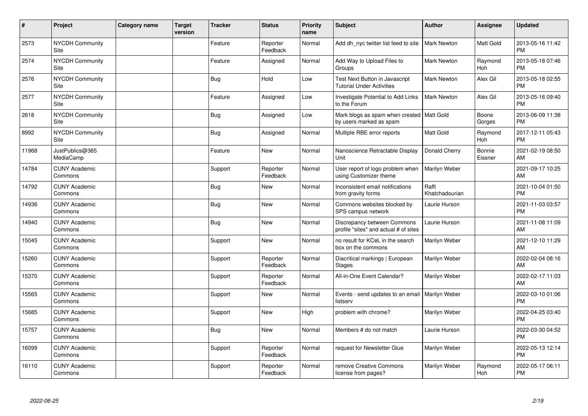| $\vert$ # | Project                         | <b>Category name</b> | <b>Target</b><br>version | <b>Tracker</b> | <b>Status</b>        | <b>Priority</b><br>name | <b>Subject</b>                                                         | Author                  | Assignee              | <b>Updated</b>                |
|-----------|---------------------------------|----------------------|--------------------------|----------------|----------------------|-------------------------|------------------------------------------------------------------------|-------------------------|-----------------------|-------------------------------|
| 2573      | <b>NYCDH Community</b><br>Site  |                      |                          | Feature        | Reporter<br>Feedback | Normal                  | Add dh nyc twitter list feed to site                                   | <b>Mark Newton</b>      | Matt Gold             | 2013-05-16 11:42<br><b>PM</b> |
| 2574      | NYCDH Community<br>Site         |                      |                          | Feature        | Assigned             | Normal                  | Add Way to Upload Files to<br>Groups                                   | Mark Newton             | Raymond<br><b>Hoh</b> | 2013-05-18 07:46<br><b>PM</b> |
| 2576      | <b>NYCDH Community</b><br>Site  |                      |                          | <b>Bug</b>     | Hold                 | Low                     | Test Next Button in Javascript<br><b>Tutorial Under Activities</b>     | <b>Mark Newton</b>      | Alex Gil              | 2013-05-18 02:55<br><b>PM</b> |
| 2577      | <b>NYCDH Community</b><br>Site  |                      |                          | Feature        | Assigned             | Low                     | Investigate Potential to Add Links<br>to the Forum                     | <b>Mark Newton</b>      | Alex Gil              | 2013-05-16 09:40<br><b>PM</b> |
| 2618      | NYCDH Community<br>Site         |                      |                          | <b>Bug</b>     | Assigned             | Low                     | Mark blogs as spam when created   Matt Gold<br>by users marked as spam |                         | Boone<br>Gorges       | 2013-06-09 11:38<br><b>PM</b> |
| 8992      | NYCDH Community<br>Site         |                      |                          | <b>Bug</b>     | Assigned             | Normal                  | Multiple RBE error reports                                             | Matt Gold               | Raymond<br><b>Hoh</b> | 2017-12-11 05:43<br><b>PM</b> |
| 11968     | JustPublics@365<br>MediaCamp    |                      |                          | Feature        | <b>New</b>           | Normal                  | Nanoscience Retractable Display<br>Unit                                | Donald Cherry           | Bonnie<br>Eissner     | 2021-02-19 08:50<br>AM        |
| 14784     | <b>CUNY Academic</b><br>Commons |                      |                          | Support        | Reporter<br>Feedback | Normal                  | User report of logo problem when<br>using Customizer theme             | Marilyn Weber           |                       | 2021-09-17 10:25<br>AM        |
| 14792     | <b>CUNY Academic</b><br>Commons |                      |                          | <b>Bug</b>     | New                  | Normal                  | Inconsistent email notifications<br>from gravity forms                 | Raffi<br>Khatchadourian |                       | 2021-10-04 01:50<br><b>PM</b> |
| 14936     | <b>CUNY Academic</b><br>Commons |                      |                          | <b>Bug</b>     | <b>New</b>           | Normal                  | Commons websites blocked by<br>SPS campus network                      | Laurie Hurson           |                       | 2021-11-03 03:57<br><b>PM</b> |
| 14940     | <b>CUNY Academic</b><br>Commons |                      |                          | <b>Bug</b>     | New                  | Normal                  | Discrepancy between Commons<br>profile "sites" and actual # of sites   | Laurie Hurson           |                       | 2021-11-08 11:09<br>AM        |
| 15045     | <b>CUNY Academic</b><br>Commons |                      |                          | Support        | New                  | Normal                  | no result for KCeL in the search<br>box on the commons                 | Marilyn Weber           |                       | 2021-12-10 11:29<br>AM        |
| 15260     | <b>CUNY Academic</b><br>Commons |                      |                          | Support        | Reporter<br>Feedback | Normal                  | Diacritical markings   European<br><b>Stages</b>                       | Marilyn Weber           |                       | 2022-02-04 08:16<br>AM        |
| 15370     | <b>CUNY Academic</b><br>Commons |                      |                          | Support        | Reporter<br>Feedback | Normal                  | All-in-One Event Calendar?                                             | Marilyn Weber           |                       | 2022-02-17 11:03<br>AM        |
| 15565     | <b>CUNY Academic</b><br>Commons |                      |                          | Support        | New                  | Normal                  | Events - send updates to an email<br>listserv                          | Marilyn Weber           |                       | 2022-03-10 01:06<br><b>PM</b> |
| 15685     | <b>CUNY Academic</b><br>Commons |                      |                          | Support        | <b>New</b>           | High                    | problem with chrome?                                                   | Marilyn Weber           |                       | 2022-04-25 03:40<br><b>PM</b> |
| 15757     | <b>CUNY Academic</b><br>Commons |                      |                          | Bug            | New                  | Normal                  | Members # do not match                                                 | Laurie Hurson           |                       | 2022-03-30 04:52<br><b>PM</b> |
| 16099     | <b>CUNY Academic</b><br>Commons |                      |                          | Support        | Reporter<br>Feedback | Normal                  | request for Newsletter Glue                                            | Marilyn Weber           |                       | 2022-05-13 12:14<br><b>PM</b> |
| 16110     | <b>CUNY Academic</b><br>Commons |                      |                          | Support        | Reporter<br>Feedback | Normal                  | remove Creative Commons<br>license from pages?                         | Marilyn Weber           | Raymond<br>Hoh        | 2022-05-17 06:11<br>PM        |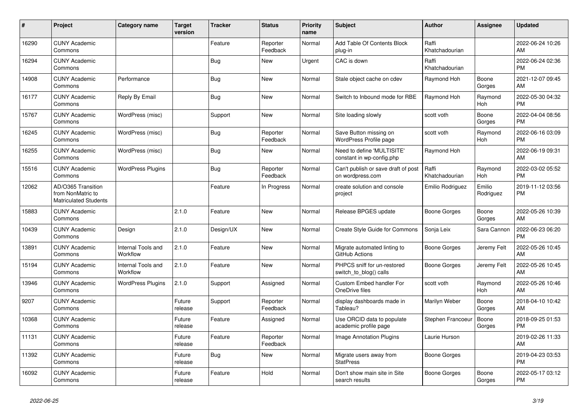| #     | Project                                                                 | <b>Category name</b>           | <b>Target</b><br>version | <b>Tracker</b> | <b>Status</b>        | <b>Priority</b><br>name | <b>Subject</b>                                          | <b>Author</b>           | <b>Assignee</b>     | <b>Updated</b>                |
|-------|-------------------------------------------------------------------------|--------------------------------|--------------------------|----------------|----------------------|-------------------------|---------------------------------------------------------|-------------------------|---------------------|-------------------------------|
| 16290 | <b>CUNY Academic</b><br>Commons                                         |                                |                          | Feature        | Reporter<br>Feedback | Normal                  | Add Table Of Contents Block<br>plug-in                  | Raffi<br>Khatchadourian |                     | 2022-06-24 10:26<br>AM        |
| 16294 | <b>CUNY Academic</b><br>Commons                                         |                                |                          | <b>Bug</b>     | New                  | Urgent                  | CAC is down                                             | Raffi<br>Khatchadourian |                     | 2022-06-24 02:36<br><b>PM</b> |
| 14908 | <b>CUNY Academic</b><br>Commons                                         | Performance                    |                          | Bug            | <b>New</b>           | Normal                  | Stale object cache on cdev                              | Raymond Hoh             | Boone<br>Gorges     | 2021-12-07 09:45<br>AM        |
| 16177 | <b>CUNY Academic</b><br>Commons                                         | Reply By Email                 |                          | Bug            | New                  | Normal                  | Switch to Inbound mode for RBE                          | Raymond Hoh             | Raymond<br>Hoh      | 2022-05-30 04:32<br><b>PM</b> |
| 15767 | <b>CUNY Academic</b><br>Commons                                         | WordPress (misc)               |                          | Support        | <b>New</b>           | Normal                  | Site loading slowly                                     | scott voth              | Boone<br>Gorges     | 2022-04-04 08:56<br><b>PM</b> |
| 16245 | <b>CUNY Academic</b><br>Commons                                         | WordPress (misc)               |                          | <b>Bug</b>     | Reporter<br>Feedback | Normal                  | Save Button missing on<br>WordPress Profile page        | scott voth              | Raymond<br>Hoh      | 2022-06-16 03:09<br><b>PM</b> |
| 16255 | <b>CUNY Academic</b><br>Commons                                         | WordPress (misc)               |                          | Bug            | <b>New</b>           | Normal                  | Need to define 'MULTISITE'<br>constant in wp-config.php | Raymond Hoh             |                     | 2022-06-19 09:31<br>AM        |
| 15516 | <b>CUNY Academic</b><br>Commons                                         | <b>WordPress Plugins</b>       |                          | <b>Bug</b>     | Reporter<br>Feedback | Normal                  | Can't publish or save draft of post<br>on wordpress.com | Raffi<br>Khatchadourian | Raymond<br>Hoh      | 2022-03-02 05:52<br><b>PM</b> |
| 12062 | AD/O365 Transition<br>from NonMatric to<br><b>Matriculated Students</b> |                                |                          | Feature        | In Progress          | Normal                  | create solution and console<br>project                  | Emilio Rodriguez        | Emilio<br>Rodriguez | 2019-11-12 03:56<br><b>PM</b> |
| 15883 | <b>CUNY Academic</b><br>Commons                                         |                                | 2.1.0                    | Feature        | <b>New</b>           | Normal                  | Release BPGES update                                    | Boone Gorges            | Boone<br>Gorges     | 2022-05-26 10:39<br>AM        |
| 10439 | <b>CUNY Academic</b><br>Commons                                         | Design                         | 2.1.0                    | Design/UX      | <b>New</b>           | Normal                  | <b>Create Style Guide for Commons</b>                   | Sonja Leix              | Sara Cannon         | 2022-06-23 06:20<br><b>PM</b> |
| 13891 | <b>CUNY Academic</b><br>Commons                                         | Internal Tools and<br>Workflow | 2.1.0                    | Feature        | <b>New</b>           | Normal                  | Migrate automated linting to<br>GitHub Actions          | Boone Gorges            | Jeremy Felt         | 2022-05-26 10:45<br>AM        |
| 15194 | <b>CUNY Academic</b><br>Commons                                         | Internal Tools and<br>Workflow | 2.1.0                    | Feature        | <b>New</b>           | Normal                  | PHPCS sniff for un-restored<br>switch to blog() calls   | Boone Gorges            | Jeremy Felt         | 2022-05-26 10:45<br>AM        |
| 13946 | <b>CUNY Academic</b><br>Commons                                         | <b>WordPress Plugins</b>       | 2.1.0                    | Support        | Assigned             | Normal                  | Custom Embed handler For<br>OneDrive files              | scott voth              | Raymond<br>Hoh      | 2022-05-26 10:46<br>AM        |
| 9207  | <b>CUNY Academic</b><br>Commons                                         |                                | Future<br>release        | Support        | Reporter<br>Feedback | Normal                  | display dashboards made in<br>Tableau?                  | Marilyn Weber           | Boone<br>Gorges     | 2018-04-10 10:42<br>AM        |
| 10368 | <b>CUNY Academic</b><br>Commons                                         |                                | Future<br>release        | Feature        | Assigned             | Normal                  | Use ORCID data to populate<br>academic profile page     | Stephen Francoeur       | Boone<br>Gorges     | 2018-09-25 01:53<br><b>PM</b> |
| 11131 | <b>CUNY Academic</b><br>Commons                                         |                                | Future<br>release        | Feature        | Reporter<br>Feedback | Normal                  | Image Annotation Plugins                                | Laurie Hurson           |                     | 2019-02-26 11:33<br>AM        |
| 11392 | <b>CUNY Academic</b><br>Commons                                         |                                | Future<br>release        | Bug            | <b>New</b>           | Normal                  | Migrate users away from<br><b>StatPress</b>             | Boone Gorges            |                     | 2019-04-23 03:53<br><b>PM</b> |
| 16092 | <b>CUNY Academic</b><br>Commons                                         |                                | Future<br>release        | Feature        | Hold                 | Normal                  | Don't show main site in Site<br>search results          | Boone Gorges            | Boone<br>Gorges     | 2022-05-17 03:12<br><b>PM</b> |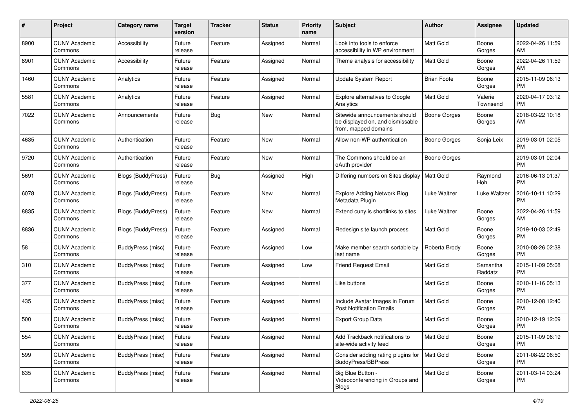| #    | Project                         | <b>Category name</b>      | <b>Target</b><br>version | <b>Tracker</b> | <b>Status</b> | <b>Priority</b><br>name | Subject                                                                                   | Author              | <b>Assignee</b>     | <b>Updated</b>                |
|------|---------------------------------|---------------------------|--------------------------|----------------|---------------|-------------------------|-------------------------------------------------------------------------------------------|---------------------|---------------------|-------------------------------|
| 8900 | <b>CUNY Academic</b><br>Commons | Accessibility             | Future<br>release        | Feature        | Assigned      | Normal                  | Look into tools to enforce<br>accessibility in WP environment                             | <b>Matt Gold</b>    | Boone<br>Gorges     | 2022-04-26 11:59<br>AM        |
| 8901 | <b>CUNY Academic</b><br>Commons | Accessibility             | Future<br>release        | Feature        | Assigned      | Normal                  | Theme analysis for accessibility                                                          | Matt Gold           | Boone<br>Gorges     | 2022-04-26 11:59<br>AM        |
| 1460 | <b>CUNY Academic</b><br>Commons | Analytics                 | Future<br>release        | Feature        | Assigned      | Normal                  | Update System Report                                                                      | <b>Brian Foote</b>  | Boone<br>Gorges     | 2015-11-09 06:13<br><b>PM</b> |
| 5581 | <b>CUNY Academic</b><br>Commons | Analytics                 | Future<br>release        | Feature        | Assigned      | Normal                  | Explore alternatives to Google<br>Analytics                                               | Matt Gold           | Valerie<br>Townsend | 2020-04-17 03:12<br>PM        |
| 7022 | <b>CUNY Academic</b><br>Commons | Announcements             | Future<br>release        | Bug            | New           | Normal                  | Sitewide announcements should<br>be displayed on, and dismissable<br>from, mapped domains | Boone Gorges        | Boone<br>Gorges     | 2018-03-22 10:18<br>AM        |
| 4635 | <b>CUNY Academic</b><br>Commons | Authentication            | Future<br>release        | Feature        | <b>New</b>    | Normal                  | Allow non-WP authentication                                                               | Boone Gorges        | Sonja Leix          | 2019-03-01 02:05<br><b>PM</b> |
| 9720 | <b>CUNY Academic</b><br>Commons | Authentication            | Future<br>release        | Feature        | New           | Normal                  | The Commons should be an<br>oAuth provider                                                | <b>Boone Gorges</b> |                     | 2019-03-01 02:04<br><b>PM</b> |
| 5691 | <b>CUNY Academic</b><br>Commons | <b>Blogs (BuddyPress)</b> | Future<br>release        | Bug            | Assigned      | High                    | Differing numbers on Sites display   Matt Gold                                            |                     | Raymond<br>Hoh      | 2016-06-13 01:37<br><b>PM</b> |
| 6078 | <b>CUNY Academic</b><br>Commons | Blogs (BuddyPress)        | Future<br>release        | Feature        | New           | Normal                  | <b>Explore Adding Network Blog</b><br>Metadata Plugin                                     | Luke Waltzer        | Luke Waltzer        | 2016-10-11 10:29<br><b>PM</b> |
| 8835 | <b>CUNY Academic</b><br>Commons | <b>Blogs (BuddyPress)</b> | Future<br>release        | Feature        | New           | Normal                  | Extend cuny.is shortlinks to sites                                                        | Luke Waltzer        | Boone<br>Gorges     | 2022-04-26 11:59<br>AM        |
| 8836 | <b>CUNY Academic</b><br>Commons | <b>Blogs (BuddyPress)</b> | Future<br>release        | Feature        | Assigned      | Normal                  | Redesign site launch process                                                              | Matt Gold           | Boone<br>Gorges     | 2019-10-03 02:49<br><b>PM</b> |
| 58   | <b>CUNY Academic</b><br>Commons | BuddyPress (misc)         | Future<br>release        | Feature        | Assigned      | Low                     | Make member search sortable by<br>last name                                               | Roberta Brody       | Boone<br>Gorges     | 2010-08-26 02:38<br><b>PM</b> |
| 310  | <b>CUNY Academic</b><br>Commons | BuddyPress (misc)         | Future<br>release        | Feature        | Assigned      | Low                     | <b>Friend Request Email</b>                                                               | <b>Matt Gold</b>    | Samantha<br>Raddatz | 2015-11-09 05:08<br><b>PM</b> |
| 377  | <b>CUNY Academic</b><br>Commons | BuddyPress (misc)         | Future<br>release        | Feature        | Assigned      | Normal                  | Like buttons                                                                              | <b>Matt Gold</b>    | Boone<br>Gorges     | 2010-11-16 05:13<br><b>PM</b> |
| 435  | <b>CUNY Academic</b><br>Commons | BuddyPress (misc)         | Future<br>release        | Feature        | Assigned      | Normal                  | Include Avatar Images in Forum<br><b>Post Notification Emails</b>                         | Matt Gold           | Boone<br>Gorges     | 2010-12-08 12:40<br><b>PM</b> |
| 500  | <b>CUNY Academic</b><br>Commons | BuddyPress (misc)         | Future<br>release        | Feature        | Assigned      | Normal                  | <b>Export Group Data</b>                                                                  | Matt Gold           | Boone<br>Gorges     | 2010-12-19 12:09<br>PM        |
| 554  | <b>CUNY Academic</b><br>Commons | BuddyPress (misc)         | Future<br>release        | Feature        | Assigned      | Normal                  | Add Trackback notifications to<br>site-wide activity feed                                 | Matt Gold           | Boone<br>Gorges     | 2015-11-09 06:19<br><b>PM</b> |
| 599  | <b>CUNY Academic</b><br>Commons | BuddyPress (misc)         | Future<br>release        | Feature        | Assigned      | Normal                  | Consider adding rating plugins for<br><b>BuddyPress/BBPress</b>                           | Matt Gold           | Boone<br>Gorges     | 2011-08-22 06:50<br><b>PM</b> |
| 635  | <b>CUNY Academic</b><br>Commons | BuddyPress (misc)         | Future<br>release        | Feature        | Assigned      | Normal                  | Big Blue Button -<br>Videoconferencing in Groups and<br>Blogs                             | Matt Gold           | Boone<br>Gorges     | 2011-03-14 03:24<br>PM        |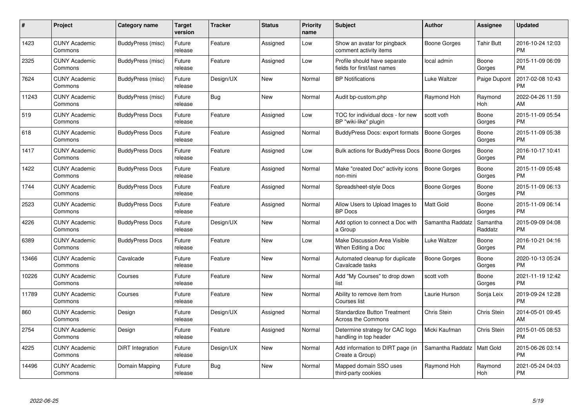| $\#$  | Project                         | Category name          | <b>Target</b><br>version | <b>Tracker</b> | <b>Status</b> | <b>Priority</b><br>name | <b>Subject</b>                                              | Author              | Assignee            | <b>Updated</b>                |
|-------|---------------------------------|------------------------|--------------------------|----------------|---------------|-------------------------|-------------------------------------------------------------|---------------------|---------------------|-------------------------------|
| 1423  | <b>CUNY Academic</b><br>Commons | BuddyPress (misc)      | Future<br>release        | Feature        | Assigned      | Low                     | Show an avatar for pingback<br>comment activity items       | Boone Gorges        | <b>Tahir Butt</b>   | 2016-10-24 12:03<br><b>PM</b> |
| 2325  | <b>CUNY Academic</b><br>Commons | BuddyPress (misc)      | Future<br>release        | Feature        | Assigned      | Low                     | Profile should have separate<br>fields for first/last names | local admin         | Boone<br>Gorges     | 2015-11-09 06:09<br><b>PM</b> |
| 7624  | <b>CUNY Academic</b><br>Commons | BuddyPress (misc)      | Future<br>release        | Design/UX      | <b>New</b>    | Normal                  | <b>BP Notifications</b>                                     | Luke Waltzer        | Paige Dupont        | 2017-02-08 10:43<br><b>PM</b> |
| 11243 | <b>CUNY Academic</b><br>Commons | BuddyPress (misc)      | Future<br>release        | <b>Bug</b>     | <b>New</b>    | Normal                  | Audit bp-custom.php                                         | Raymond Hoh         | Raymond<br>Hoh      | 2022-04-26 11:59<br>AM        |
| 519   | <b>CUNY Academic</b><br>Commons | <b>BuddyPress Docs</b> | Future<br>release        | Feature        | Assigned      | Low                     | TOC for individual docs - for new<br>BP "wiki-like" plugin  | scott voth          | Boone<br>Gorges     | 2015-11-09 05:54<br><b>PM</b> |
| 618   | <b>CUNY Academic</b><br>Commons | <b>BuddyPress Docs</b> | Future<br>release        | Feature        | Assigned      | Normal                  | BuddyPress Docs: export formats                             | Boone Gorges        | Boone<br>Gorges     | 2015-11-09 05:38<br><b>PM</b> |
| 1417  | <b>CUNY Academic</b><br>Commons | <b>BuddyPress Docs</b> | Future<br>release        | Feature        | Assigned      | Low                     | Bulk actions for BuddyPress Docs                            | <b>Boone Gorges</b> | Boone<br>Gorges     | 2016-10-17 10:41<br><b>PM</b> |
| 1422  | <b>CUNY Academic</b><br>Commons | <b>BuddyPress Docs</b> | Future<br>release        | Feature        | Assigned      | Normal                  | Make "created Doc" activity icons<br>non-mini               | <b>Boone Gorges</b> | Boone<br>Gorges     | 2015-11-09 05:48<br><b>PM</b> |
| 1744  | <b>CUNY Academic</b><br>Commons | <b>BuddyPress Docs</b> | Future<br>release        | Feature        | Assigned      | Normal                  | Spreadsheet-style Docs                                      | Boone Gorges        | Boone<br>Gorges     | 2015-11-09 06:13<br><b>PM</b> |
| 2523  | <b>CUNY Academic</b><br>Commons | <b>BuddyPress Docs</b> | Future<br>release        | Feature        | Assigned      | Normal                  | Allow Users to Upload Images to<br><b>BP</b> Docs           | <b>Matt Gold</b>    | Boone<br>Gorges     | 2015-11-09 06:14<br><b>PM</b> |
| 4226  | <b>CUNY Academic</b><br>Commons | <b>BuddyPress Docs</b> | Future<br>release        | Design/UX      | <b>New</b>    | Normal                  | Add option to connect a Doc with<br>a Group                 | Samantha Raddatz    | Samantha<br>Raddatz | 2015-09-09 04:08<br><b>PM</b> |
| 6389  | <b>CUNY Academic</b><br>Commons | <b>BuddyPress Docs</b> | Future<br>release        | Feature        | <b>New</b>    | Low                     | Make Discussion Area Visible<br>When Editing a Doc          | Luke Waltzer        | Boone<br>Gorges     | 2016-10-21 04:16<br><b>PM</b> |
| 13466 | <b>CUNY Academic</b><br>Commons | Cavalcade              | Future<br>release        | Feature        | <b>New</b>    | Normal                  | Automated cleanup for duplicate<br>Cavalcade tasks          | Boone Gorges        | Boone<br>Gorges     | 2020-10-13 05:24<br><b>PM</b> |
| 10226 | <b>CUNY Academic</b><br>Commons | Courses                | Future<br>release        | Feature        | New           | Normal                  | Add "My Courses" to drop down<br>list                       | scott voth          | Boone<br>Gorges     | 2021-11-19 12:42<br><b>PM</b> |
| 11789 | <b>CUNY Academic</b><br>Commons | Courses                | Future<br>release        | Feature        | New           | Normal                  | Ability to remove item from<br>Courses list                 | Laurie Hurson       | Sonja Leix          | 2019-09-24 12:28<br><b>PM</b> |
| 860   | <b>CUNY Academic</b><br>Commons | Design                 | Future<br>release        | Design/UX      | Assigned      | Normal                  | <b>Standardize Button Treatment</b><br>Across the Commons   | <b>Chris Stein</b>  | Chris Stein         | 2014-05-01 09:45<br>AM        |
| 2754  | <b>CUNY Academic</b><br>Commons | Design                 | Future<br>release        | Feature        | Assigned      | Normal                  | Determine strategy for CAC logo<br>handling in top header   | Micki Kaufman       | Chris Stein         | 2015-01-05 08:53<br><b>PM</b> |
| 4225  | <b>CUNY Academic</b><br>Commons | DiRT Integration       | Future<br>release        | Design/UX      | <b>New</b>    | Normal                  | Add information to DIRT page (in<br>Create a Group)         | Samantha Raddatz    | Matt Gold           | 2015-06-26 03:14<br><b>PM</b> |
| 14496 | CUNY Academic<br>Commons        | Domain Mapping         | Future<br>release        | <b>Bug</b>     | <b>New</b>    | Normal                  | Mapped domain SSO uses<br>third-party cookies               | Raymond Hoh         | Raymond<br>Hoh      | 2021-05-24 04:03<br>PM        |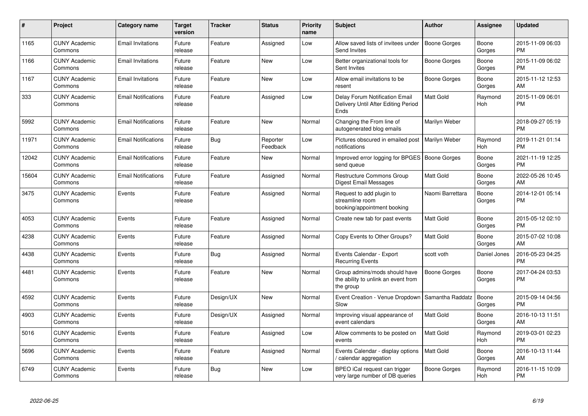| #     | Project                         | <b>Category name</b>       | Target<br>version | <b>Tracker</b> | <b>Status</b>        | <b>Priority</b><br>name | <b>Subject</b>                                                                    | <b>Author</b>       | <b>Assignee</b>       | <b>Updated</b>                |
|-------|---------------------------------|----------------------------|-------------------|----------------|----------------------|-------------------------|-----------------------------------------------------------------------------------|---------------------|-----------------------|-------------------------------|
| 1165  | <b>CUNY Academic</b><br>Commons | <b>Email Invitations</b>   | Future<br>release | Feature        | Assigned             | Low                     | Allow saved lists of invitees under<br>Send Invites                               | <b>Boone Gorges</b> | Boone<br>Gorges       | 2015-11-09 06:03<br><b>PM</b> |
| 1166  | <b>CUNY Academic</b><br>Commons | <b>Email Invitations</b>   | Future<br>release | Feature        | <b>New</b>           | Low                     | Better organizational tools for<br>Sent Invites                                   | Boone Gorges        | Boone<br>Gorges       | 2015-11-09 06:02<br><b>PM</b> |
| 1167  | <b>CUNY Academic</b><br>Commons | <b>Email Invitations</b>   | Future<br>release | Feature        | New                  | Low                     | Allow email invitations to be<br>resent                                           | Boone Gorges        | Boone<br>Gorges       | 2015-11-12 12:53<br>AM        |
| 333   | <b>CUNY Academic</b><br>Commons | <b>Email Notifications</b> | Future<br>release | Feature        | Assigned             | Low                     | Delay Forum Notification Email<br>Delivery Until After Editing Period<br>Ends     | <b>Matt Gold</b>    | Raymond<br>Hoh        | 2015-11-09 06:01<br><b>PM</b> |
| 5992  | <b>CUNY Academic</b><br>Commons | <b>Email Notifications</b> | Future<br>release | Feature        | <b>New</b>           | Normal                  | Changing the From line of<br>autogenerated blog emails                            | Marilyn Weber       |                       | 2018-09-27 05:19<br><b>PM</b> |
| 11971 | <b>CUNY Academic</b><br>Commons | <b>Email Notifications</b> | Future<br>release | Bug            | Reporter<br>Feedback | Low                     | Pictures obscured in emailed post<br>notifications                                | Marilyn Weber       | Raymond<br><b>Hoh</b> | 2019-11-21 01:14<br><b>PM</b> |
| 12042 | <b>CUNY Academic</b><br>Commons | <b>Email Notifications</b> | Future<br>release | Feature        | <b>New</b>           | Normal                  | Improved error logging for BPGES   Boone Gorges<br>send queue                     |                     | Boone<br>Gorges       | 2021-11-19 12:25<br><b>PM</b> |
| 15604 | <b>CUNY Academic</b><br>Commons | <b>Email Notifications</b> | Future<br>release | Feature        | Assigned             | Normal                  | <b>Restructure Commons Group</b><br>Digest Email Messages                         | Matt Gold           | Boone<br>Gorges       | 2022-05-26 10:45<br>AM        |
| 3475  | <b>CUNY Academic</b><br>Commons | Events                     | Future<br>release | Feature        | Assigned             | Normal                  | Request to add plugin to<br>streamline room<br>booking/appointment booking        | Naomi Barrettara    | Boone<br>Gorges       | 2014-12-01 05:14<br><b>PM</b> |
| 4053  | <b>CUNY Academic</b><br>Commons | Events                     | Future<br>release | Feature        | Assigned             | Normal                  | Create new tab for past events                                                    | Matt Gold           | Boone<br>Gorges       | 2015-05-12 02:10<br><b>PM</b> |
| 4238  | <b>CUNY Academic</b><br>Commons | Events                     | Future<br>release | Feature        | Assigned             | Normal                  | Copy Events to Other Groups?                                                      | <b>Matt Gold</b>    | Boone<br>Gorges       | 2015-07-02 10:08<br>AM        |
| 4438  | <b>CUNY Academic</b><br>Commons | Events                     | Future<br>release | Bug            | Assigned             | Normal                  | Events Calendar - Export<br><b>Recurring Events</b>                               | scott voth          | Daniel Jones          | 2016-05-23 04:25<br><b>PM</b> |
| 4481  | <b>CUNY Academic</b><br>Commons | Events                     | Future<br>release | Feature        | <b>New</b>           | Normal                  | Group admins/mods should have<br>the ability to unlink an event from<br>the group | <b>Boone Gorges</b> | Boone<br>Gorges       | 2017-04-24 03:53<br><b>PM</b> |
| 4592  | <b>CUNY Academic</b><br>Commons | Events                     | Future<br>release | Design/UX      | <b>New</b>           | Normal                  | Event Creation - Venue Dropdown<br>Slow                                           | Samantha Raddatz    | Boone<br>Gorges       | 2015-09-14 04:56<br><b>PM</b> |
| 4903  | <b>CUNY Academic</b><br>Commons | Events                     | Future<br>release | Design/UX      | Assigned             | Normal                  | Improving visual appearance of<br>event calendars                                 | Matt Gold           | Boone<br>Gorges       | 2016-10-13 11:51<br>AM        |
| 5016  | <b>CUNY Academic</b><br>Commons | Events                     | Future<br>release | Feature        | Assigned             | Low                     | Allow comments to be posted on<br>events                                          | <b>Matt Gold</b>    | Raymond<br><b>Hoh</b> | 2019-03-01 02:23<br><b>PM</b> |
| 5696  | <b>CUNY Academic</b><br>Commons | Events                     | Future<br>release | Feature        | Assigned             | Normal                  | Events Calendar - display options<br>calendar aggregation /                       | <b>Matt Gold</b>    | Boone<br>Gorges       | 2016-10-13 11:44<br>AM        |
| 6749  | <b>CUNY Academic</b><br>Commons | Events                     | Future<br>release | Bug            | <b>New</b>           | Low                     | BPEO iCal request can trigger<br>very large number of DB queries                  | Boone Gorges        | Raymond<br>Hoh        | 2016-11-15 10:09<br>PM        |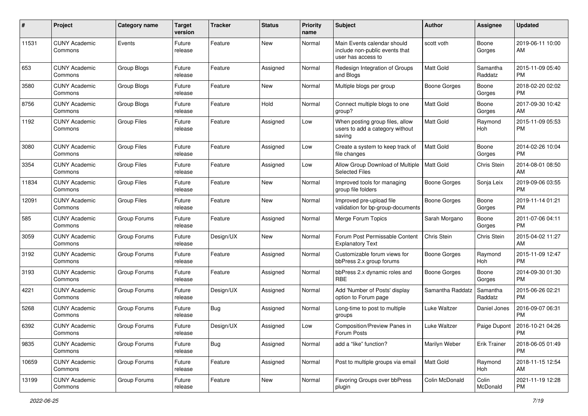| #     | Project                         | <b>Category name</b> | <b>Target</b><br>version | <b>Tracker</b> | <b>Status</b> | <b>Priority</b><br>name | <b>Subject</b>                                                                      | Author              | Assignee            | <b>Updated</b>                |
|-------|---------------------------------|----------------------|--------------------------|----------------|---------------|-------------------------|-------------------------------------------------------------------------------------|---------------------|---------------------|-------------------------------|
| 11531 | <b>CUNY Academic</b><br>Commons | Events               | Future<br>release        | Feature        | <b>New</b>    | Normal                  | Main Events calendar should<br>include non-public events that<br>user has access to | scott voth          | Boone<br>Gorges     | 2019-06-11 10:00<br>ΑM        |
| 653   | <b>CUNY Academic</b><br>Commons | Group Blogs          | Future<br>release        | Feature        | Assigned      | Normal                  | Redesign Integration of Groups<br>and Blogs                                         | <b>Matt Gold</b>    | Samantha<br>Raddatz | 2015-11-09 05:40<br><b>PM</b> |
| 3580  | <b>CUNY Academic</b><br>Commons | Group Blogs          | Future<br>release        | Feature        | <b>New</b>    | Normal                  | Multiple blogs per group                                                            | <b>Boone Gorges</b> | Boone<br>Gorges     | 2018-02-20 02:02<br><b>PM</b> |
| 8756  | <b>CUNY Academic</b><br>Commons | Group Blogs          | Future<br>release        | Feature        | Hold          | Normal                  | Connect multiple blogs to one<br>group?                                             | <b>Matt Gold</b>    | Boone<br>Gorges     | 2017-09-30 10:42<br>AM        |
| 1192  | <b>CUNY Academic</b><br>Commons | <b>Group Files</b>   | Future<br>release        | Feature        | Assigned      | Low                     | When posting group files, allow<br>users to add a category without<br>saving        | Matt Gold           | Raymond<br>Hoh      | 2015-11-09 05:53<br><b>PM</b> |
| 3080  | <b>CUNY Academic</b><br>Commons | <b>Group Files</b>   | Future<br>release        | Feature        | Assigned      | Low                     | Create a system to keep track of<br>file changes                                    | <b>Matt Gold</b>    | Boone<br>Gorges     | 2014-02-26 10:04<br><b>PM</b> |
| 3354  | <b>CUNY Academic</b><br>Commons | <b>Group Files</b>   | Future<br>release        | Feature        | Assigned      | Low                     | Allow Group Download of Multiple<br><b>Selected Files</b>                           | <b>Matt Gold</b>    | Chris Stein         | 2014-08-01 08:50<br>AM        |
| 11834 | <b>CUNY Academic</b><br>Commons | Group Files          | Future<br>release        | Feature        | New           | Normal                  | Improved tools for managing<br>group file folders                                   | Boone Gorges        | Sonja Leix          | 2019-09-06 03:55<br><b>PM</b> |
| 12091 | <b>CUNY Academic</b><br>Commons | <b>Group Files</b>   | Future<br>release        | Feature        | New           | Normal                  | Improved pre-upload file<br>validation for bp-group-documents                       | <b>Boone Gorges</b> | Boone<br>Gorges     | 2019-11-14 01:21<br><b>PM</b> |
| 585   | <b>CUNY Academic</b><br>Commons | Group Forums         | Future<br>release        | Feature        | Assigned      | Normal                  | Merge Forum Topics                                                                  | Sarah Morgano       | Boone<br>Gorges     | 2011-07-06 04:11<br><b>PM</b> |
| 3059  | <b>CUNY Academic</b><br>Commons | Group Forums         | Future<br>release        | Design/UX      | New           | Normal                  | Forum Post Permissable Content<br><b>Explanatory Text</b>                           | <b>Chris Stein</b>  | Chris Stein         | 2015-04-02 11:27<br>AM        |
| 3192  | <b>CUNY Academic</b><br>Commons | Group Forums         | Future<br>release        | Feature        | Assigned      | Normal                  | Customizable forum views for<br>bbPress 2.x group forums                            | <b>Boone Gorges</b> | Raymond<br>Hoh      | 2015-11-09 12:47<br><b>PM</b> |
| 3193  | <b>CUNY Academic</b><br>Commons | Group Forums         | Future<br>release        | Feature        | Assigned      | Normal                  | bbPress 2.x dynamic roles and<br><b>RBE</b>                                         | Boone Gorges        | Boone<br>Gorges     | 2014-09-30 01:30<br><b>PM</b> |
| 4221  | <b>CUNY Academic</b><br>Commons | Group Forums         | Future<br>release        | Design/UX      | Assigned      | Normal                  | Add 'Number of Posts' display<br>option to Forum page                               | Samantha Raddatz    | Samantha<br>Raddatz | 2015-06-26 02:21<br><b>PM</b> |
| 5268  | <b>CUNY Academic</b><br>Commons | Group Forums         | Future<br>release        | Bug            | Assigned      | Normal                  | Long-time to post to multiple<br>groups                                             | Luke Waltzer        | Daniel Jones        | 2016-09-07 06:31<br><b>PM</b> |
| 6392  | <b>CUNY Academic</b><br>Commons | Group Forums         | Future<br>release        | Design/UX      | Assigned      | Low                     | Composition/Preview Panes in<br>Forum Posts                                         | Luke Waltzer        | Paige Dupont        | 2016-10-21 04:26<br>PM        |
| 9835  | <b>CUNY Academic</b><br>Commons | Group Forums         | Future<br>release        | Bug            | Assigned      | Normal                  | add a "like" function?                                                              | Marilyn Weber       | <b>Erik Trainer</b> | 2018-06-05 01:49<br><b>PM</b> |
| 10659 | <b>CUNY Academic</b><br>Commons | Group Forums         | Future<br>release        | Feature        | Assigned      | Normal                  | Post to multiple groups via email                                                   | Matt Gold           | Raymond<br>Hoh      | 2018-11-15 12:54<br>AM        |
| 13199 | <b>CUNY Academic</b><br>Commons | Group Forums         | Future<br>release        | Feature        | New           | Normal                  | Favoring Groups over bbPress<br>plugin                                              | Colin McDonald      | Colin<br>McDonald   | 2021-11-19 12:28<br>PM        |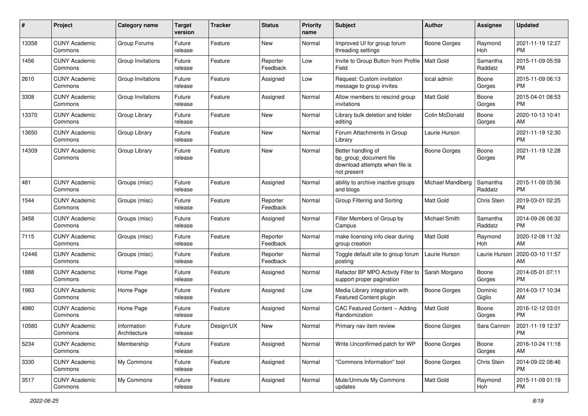| #     | Project                         | <b>Category name</b>        | <b>Target</b><br>version | <b>Tracker</b> | <b>Status</b>        | <b>Priority</b><br>name | Subject                                                                                       | Author               | Assignee            | <b>Updated</b>                |
|-------|---------------------------------|-----------------------------|--------------------------|----------------|----------------------|-------------------------|-----------------------------------------------------------------------------------------------|----------------------|---------------------|-------------------------------|
| 13358 | <b>CUNY Academic</b><br>Commons | Group Forums                | Future<br>release        | Feature        | New                  | Normal                  | Improved UI for group forum<br>threading settings                                             | <b>Boone Gorges</b>  | Raymond<br>Hoh      | 2021-11-19 12:27<br><b>PM</b> |
| 1456  | <b>CUNY Academic</b><br>Commons | Group Invitations           | Future<br>release        | Feature        | Reporter<br>Feedback | Low                     | Invite to Group Button from Profile   Matt Gold<br>Field                                      |                      | Samantha<br>Raddatz | 2015-11-09 05:59<br><b>PM</b> |
| 2610  | CUNY Academic<br>Commons        | Group Invitations           | Future<br>release        | Feature        | Assigned             | Low                     | Request: Custom invitation<br>message to group invites                                        | local admin          | Boone<br>Gorges     | 2015-11-09 06:13<br><b>PM</b> |
| 3308  | <b>CUNY Academic</b><br>Commons | Group Invitations           | Future<br>release        | Feature        | Assigned             | Normal                  | Allow members to rescind group<br>invitations                                                 | <b>Matt Gold</b>     | Boone<br>Gorges     | 2015-04-01 08:53<br><b>PM</b> |
| 13370 | <b>CUNY Academic</b><br>Commons | Group Library               | Future<br>release        | Feature        | New                  | Normal                  | Library bulk deletion and folder<br>editing                                                   | Colin McDonald       | Boone<br>Gorges     | 2020-10-13 10:41<br>AM        |
| 13650 | <b>CUNY Academic</b><br>Commons | Group Library               | Future<br>release        | Feature        | New                  | Normal                  | Forum Attachments in Group<br>Library                                                         | Laurie Hurson        |                     | 2021-11-19 12:30<br><b>PM</b> |
| 14309 | <b>CUNY Academic</b><br>Commons | Group Library               | Future<br>release        | Feature        | New                  | Normal                  | Better handling of<br>bp_group_document file<br>download attempts when file is<br>not present | <b>Boone Gorges</b>  | Boone<br>Gorges     | 2021-11-19 12:28<br><b>PM</b> |
| 481   | <b>CUNY Academic</b><br>Commons | Groups (misc)               | Future<br>release        | Feature        | Assigned             | Normal                  | ability to archive inactive groups<br>and blogs                                               | Michael Mandiberg    | Samantha<br>Raddatz | 2015-11-09 05:56<br><b>PM</b> |
| 1544  | <b>CUNY Academic</b><br>Commons | Groups (misc)               | Future<br>release        | Feature        | Reporter<br>Feedback | Normal                  | Group Filtering and Sorting                                                                   | Matt Gold            | Chris Stein         | 2019-03-01 02:25<br><b>PM</b> |
| 3458  | <b>CUNY Academic</b><br>Commons | Groups (misc)               | Future<br>release        | Feature        | Assigned             | Normal                  | Filter Members of Group by<br>Campus                                                          | <b>Michael Smith</b> | Samantha<br>Raddatz | 2014-09-26 08:32<br><b>PM</b> |
| 7115  | <b>CUNY Academic</b><br>Commons | Groups (misc)               | Future<br>release        | Feature        | Reporter<br>Feedback | Normal                  | make licensing info clear during<br>group creation                                            | <b>Matt Gold</b>     | Raymond<br>Hoh      | 2020-12-08 11:32<br>AM        |
| 12446 | <b>CUNY Academic</b><br>Commons | Groups (misc)               | Future<br>release        | Feature        | Reporter<br>Feedback | Normal                  | Toggle default site to group forum<br>posting                                                 | Laurie Hurson        | Laurie Hurson       | 2020-03-10 11:57<br>AM        |
| 1888  | <b>CUNY Academic</b><br>Commons | Home Page                   | Future<br>release        | Feature        | Assigned             | Normal                  | Refactor BP MPO Activity Filter to<br>support proper pagination                               | Sarah Morgano        | Boone<br>Gorges     | 2014-05-01 07:11<br><b>PM</b> |
| 1983  | <b>CUNY Academic</b><br>Commons | Home Page                   | Future<br>release        | Feature        | Assigned             | Low                     | Media Library integration with<br>Featured Content plugin                                     | <b>Boone Gorges</b>  | Dominic<br>Giglio   | 2014-03-17 10:34<br>AM        |
| 4980  | <b>CUNY Academic</b><br>Commons | Home Page                   | Future<br>release        | Feature        | Assigned             | Normal                  | CAC Featured Content -- Adding<br>Randomization                                               | <b>Matt Gold</b>     | Boone<br>Gorges     | 2016-12-12 03:01<br><b>PM</b> |
| 10580 | <b>CUNY Academic</b><br>Commons | Information<br>Architecture | Future<br>release        | Design/UX      | New                  | Normal                  | Primary nav item review                                                                       | Boone Gorges         | Sara Cannon         | 2021-11-19 12:37<br>PM        |
| 5234  | <b>CUNY Academic</b><br>Commons | Membership                  | Future<br>release        | Feature        | Assigned             | Normal                  | Write Unconfirmed patch for WP                                                                | Boone Gorges         | Boone<br>Gorges     | 2016-10-24 11:18<br>AM        |
| 3330  | <b>CUNY Academic</b><br>Commons | My Commons                  | Future<br>release        | Feature        | Assigned             | Normal                  | "Commons Information" tool                                                                    | Boone Gorges         | Chris Stein         | 2014-09-22 08:46<br>PM        |
| 3517  | <b>CUNY Academic</b><br>Commons | My Commons                  | Future<br>release        | Feature        | Assigned             | Normal                  | Mute/Unmute My Commons<br>updates                                                             | Matt Gold            | Raymond<br>Hoh      | 2015-11-09 01:19<br>PM        |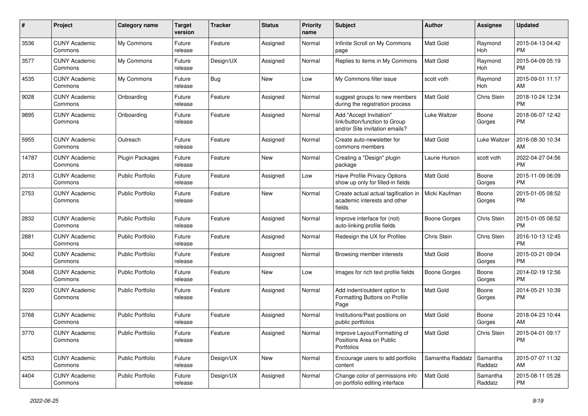| #     | Project                         | <b>Category name</b>    | <b>Target</b><br>version | <b>Tracker</b> | <b>Status</b> | <b>Priority</b><br>name | <b>Subject</b>                                                                             | Author              | <b>Assignee</b>     | <b>Updated</b>                |
|-------|---------------------------------|-------------------------|--------------------------|----------------|---------------|-------------------------|--------------------------------------------------------------------------------------------|---------------------|---------------------|-------------------------------|
| 3536  | <b>CUNY Academic</b><br>Commons | My Commons              | Future<br>release        | Feature        | Assigned      | Normal                  | Infinite Scroll on My Commons<br>page                                                      | Matt Gold           | Raymond<br>Hoh      | 2015-04-13 04:42<br>PM        |
| 3577  | <b>CUNY Academic</b><br>Commons | My Commons              | Future<br>release        | Design/UX      | Assigned      | Normal                  | Replies to items in My Commons                                                             | Matt Gold           | Raymond<br>Hoh      | 2015-04-09 05:19<br>PM        |
| 4535  | <b>CUNY Academic</b><br>Commons | My Commons              | Future<br>release        | Bug            | New           | Low                     | My Commons filter issue                                                                    | scott voth          | Raymond<br>Hoh      | 2015-09-01 11:17<br>AM        |
| 9028  | <b>CUNY Academic</b><br>Commons | Onboarding              | Future<br>release        | Feature        | Assigned      | Normal                  | suggest groups to new members<br>during the registration process                           | Matt Gold           | Chris Stein         | 2018-10-24 12:34<br><b>PM</b> |
| 9895  | <b>CUNY Academic</b><br>Commons | Onboarding              | Future<br>release        | Feature        | Assigned      | Normal                  | Add "Accept Invitation"<br>link/button/function to Group<br>and/or Site invitation emails? | Luke Waltzer        | Boone<br>Gorges     | 2018-06-07 12:42<br><b>PM</b> |
| 5955  | <b>CUNY Academic</b><br>Commons | Outreach                | Future<br>release        | Feature        | Assigned      | Normal                  | Create auto-newsletter for<br>commons members                                              | Matt Gold           | Luke Waltzer        | 2016-08-30 10:34<br>AM        |
| 14787 | <b>CUNY Academic</b><br>Commons | <b>Plugin Packages</b>  | Future<br>release        | Feature        | New           | Normal                  | Creating a "Design" plugin<br>package                                                      | Laurie Hurson       | scott voth          | 2022-04-27 04:56<br>РM        |
| 2013  | <b>CUNY Academic</b><br>Commons | <b>Public Portfolio</b> | Future<br>release        | Feature        | Assigned      | Low                     | Have Profile Privacy Options<br>show up only for filled-in fields                          | Matt Gold           | Boone<br>Gorges     | 2015-11-09 06:09<br><b>PM</b> |
| 2753  | <b>CUNY Academic</b><br>Commons | <b>Public Portfolio</b> | Future<br>release        | Feature        | New           | Normal                  | Create actual actual tagification in<br>academic interests and other<br>fields             | Micki Kaufman       | Boone<br>Gorges     | 2015-01-05 08:52<br>PM        |
| 2832  | <b>CUNY Academic</b><br>Commons | <b>Public Portfolio</b> | Future<br>release        | Feature        | Assigned      | Normal                  | Improve interface for (not)<br>auto-linking profile fields                                 | <b>Boone Gorges</b> | Chris Stein         | 2015-01-05 08:52<br>PM        |
| 2881  | <b>CUNY Academic</b><br>Commons | <b>Public Portfolio</b> | Future<br>release        | Feature        | Assigned      | Normal                  | Redesign the UX for Profiles                                                               | Chris Stein         | Chris Stein         | 2016-10-13 12:45<br><b>PM</b> |
| 3042  | <b>CUNY Academic</b><br>Commons | <b>Public Portfolio</b> | Future<br>release        | Feature        | Assigned      | Normal                  | Browsing member interests                                                                  | Matt Gold           | Boone<br>Gorges     | 2015-03-21 09:04<br>PM        |
| 3048  | <b>CUNY Academic</b><br>Commons | <b>Public Portfolio</b> | Future<br>release        | Feature        | New           | Low                     | Images for rich text profile fields                                                        | Boone Gorges        | Boone<br>Gorges     | 2014-02-19 12:56<br><b>PM</b> |
| 3220  | <b>CUNY Academic</b><br>Commons | <b>Public Portfolio</b> | Future<br>release        | Feature        | Assigned      | Normal                  | Add indent/outdent option to<br>Formatting Buttons on Profile<br>Page                      | Matt Gold           | Boone<br>Gorges     | 2014-05-21 10:39<br>РM        |
| 3768  | <b>CUNY Academic</b><br>Commons | <b>Public Portfolio</b> | Future<br>release        | Feature        | Assigned      | Normal                  | Institutions/Past positions on<br>public portfolios                                        | Matt Gold           | Boone<br>Gorges     | 2018-04-23 10:44<br>AM        |
| 3770  | <b>CUNY Academic</b><br>Commons | Public Portfolio        | Future<br>release        | Feature        | Assigned      | Normal                  | Improve Layout/Formatting of<br>Positions Area on Public<br>Portfolios                     | Matt Gold           | Chris Stein         | 2015-04-01 09:17<br><b>PM</b> |
| 4253  | <b>CUNY Academic</b><br>Commons | <b>Public Portfolio</b> | Future<br>release        | Design/UX      | New           | Normal                  | Encourage users to add portfolio<br>content                                                | Samantha Raddatz    | Samantha<br>Raddatz | 2015-07-07 11:32<br>AM        |
| 4404  | <b>CUNY Academic</b><br>Commons | Public Portfolio        | Future<br>release        | Design/UX      | Assigned      | Normal                  | Change color of permissions info<br>on portfolio editing interface                         | Matt Gold           | Samantha<br>Raddatz | 2015-08-11 05:28<br>PM        |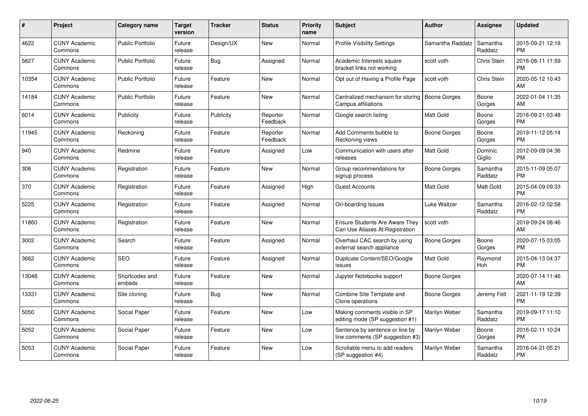| #     | <b>Project</b>                  | Category name            | <b>Target</b><br>version | <b>Tracker</b> | <b>Status</b>        | <b>Priority</b><br>name | <b>Subject</b>                                                           | <b>Author</b>       | <b>Assignee</b>     | <b>Updated</b>                |
|-------|---------------------------------|--------------------------|--------------------------|----------------|----------------------|-------------------------|--------------------------------------------------------------------------|---------------------|---------------------|-------------------------------|
| 4622  | <b>CUNY Academic</b><br>Commons | <b>Public Portfolio</b>  | Future<br>release        | Design/UX      | <b>New</b>           | Normal                  | <b>Profile Visibility Settings</b>                                       | Samantha Raddatz    | Samantha<br>Raddatz | 2015-09-21 12:18<br><b>PM</b> |
| 5827  | <b>CUNY Academic</b><br>Commons | <b>Public Portfolio</b>  | Future<br>release        | Bug            | Assigned             | Normal                  | Academic Interests square<br>bracket links not working                   | scott voth          | Chris Stein         | 2016-08-11 11:59<br><b>PM</b> |
| 10354 | <b>CUNY Academic</b><br>Commons | <b>Public Portfolio</b>  | Future<br>release        | Feature        | <b>New</b>           | Normal                  | Opt out of Having a Profile Page                                         | scott voth          | Chris Stein         | 2020-05-12 10:43<br>AM        |
| 14184 | <b>CUNY Academic</b><br>Commons | <b>Public Portfolio</b>  | Future<br>release        | Feature        | <b>New</b>           | Normal                  | Centralized mechanism for storing  <br>Campus affiliations               | <b>Boone Gorges</b> | Boone<br>Gorges     | 2022-01-04 11:35<br>AM        |
| 6014  | <b>CUNY Academic</b><br>Commons | Publicity                | Future<br>release        | Publicity      | Reporter<br>Feedback | Normal                  | Google search listing                                                    | <b>Matt Gold</b>    | Boone<br>Gorges     | 2016-09-21 03:48<br><b>PM</b> |
| 11945 | <b>CUNY Academic</b><br>Commons | Reckoning                | Future<br>release        | Feature        | Reporter<br>Feedback | Normal                  | Add Comments bubble to<br>Reckoning views                                | <b>Boone Gorges</b> | Boone<br>Gorges     | 2019-11-12 05:14<br><b>PM</b> |
| 940   | <b>CUNY Academic</b><br>Commons | Redmine                  | Future<br>release        | Feature        | Assigned             | Low                     | Communication with users after<br>releases                               | <b>Matt Gold</b>    | Dominic<br>Giglio   | 2012-09-09 04:36<br><b>PM</b> |
| 308   | <b>CUNY Academic</b><br>Commons | Registration             | Future<br>release        | Feature        | <b>New</b>           | Normal                  | Group recommendations for<br>signup process                              | Boone Gorges        | Samantha<br>Raddatz | 2015-11-09 05:07<br><b>PM</b> |
| 370   | <b>CUNY Academic</b><br>Commons | Registration             | Future<br>release        | Feature        | Assigned             | High                    | <b>Guest Accounts</b>                                                    | <b>Matt Gold</b>    | Matt Gold           | 2015-04-09 09:33<br><b>PM</b> |
| 5225  | <b>CUNY Academic</b><br>Commons | Registration             | Future<br>release        | Feature        | Assigned             | Normal                  | On-boarding Issues                                                       | Luke Waltzer        | Samantha<br>Raddatz | 2016-02-12 02:58<br><b>PM</b> |
| 11860 | <b>CUNY Academic</b><br>Commons | Registration             | Future<br>release        | Feature        | <b>New</b>           | Normal                  | <b>Ensure Students Are Aware They</b><br>Can Use Aliases At Registration | scott voth          |                     | 2019-09-24 08:46<br>AM        |
| 3002  | <b>CUNY Academic</b><br>Commons | Search                   | Future<br>release        | Feature        | Assigned             | Normal                  | Overhaul CAC search by using<br>external search appliance                | Boone Gorges        | Boone<br>Gorges     | 2020-07-15 03:05<br><b>PM</b> |
| 3662  | <b>CUNY Academic</b><br>Commons | <b>SEO</b>               | Future<br>release        | Feature        | Assigned             | Normal                  | Duplicate Content/SEO/Google<br>issues                                   | <b>Matt Gold</b>    | Raymond<br>Hoh      | 2015-04-13 04:37<br><b>PM</b> |
| 13048 | CUNY Academic<br>Commons        | Shortcodes and<br>embeds | Future<br>release        | Feature        | <b>New</b>           | Normal                  | Jupyter Notebooks support                                                | Boone Gorges        |                     | 2020-07-14 11:46<br>AM        |
| 13331 | <b>CUNY Academic</b><br>Commons | Site cloning             | Future<br>release        | <b>Bug</b>     | <b>New</b>           | Normal                  | Combine Site Template and<br>Clone operations                            | Boone Gorges        | Jeremy Felt         | 2021-11-19 12:39<br><b>PM</b> |
| 5050  | CUNY Academic<br>Commons        | Social Paper             | Future<br>release        | Feature        | <b>New</b>           | Low                     | Making comments visible in SP<br>editing mode (SP suggestion #1)         | Marilyn Weber       | Samantha<br>Raddatz | 2019-09-17 11:10<br><b>PM</b> |
| 5052  | <b>CUNY Academic</b><br>Commons | Social Paper             | Future<br>release        | Feature        | <b>New</b>           | Low                     | Sentence by sentence or line by<br>line comments (SP suggestion #3)      | Marilyn Weber       | Boone<br>Gorges     | 2016-02-11 10:24<br><b>PM</b> |
| 5053  | <b>CUNY Academic</b><br>Commons | Social Paper             | Future<br>release        | Feature        | <b>New</b>           | Low                     | Scrollable menu to add readers<br>(SP suggestion #4)                     | Marilyn Weber       | Samantha<br>Raddatz | 2016-04-21 05:21<br><b>PM</b> |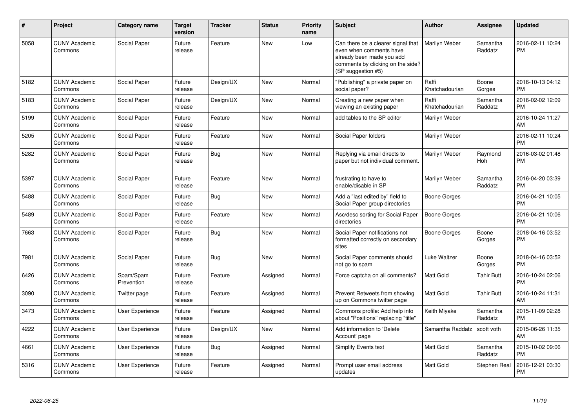| #    | Project                         | <b>Category name</b>    | Target<br>version | <b>Tracker</b> | <b>Status</b> | <b>Priority</b><br>name | <b>Subject</b>                                                                                                                                        | <b>Author</b>           | <b>Assignee</b>     | <b>Updated</b>                |
|------|---------------------------------|-------------------------|-------------------|----------------|---------------|-------------------------|-------------------------------------------------------------------------------------------------------------------------------------------------------|-------------------------|---------------------|-------------------------------|
| 5058 | <b>CUNY Academic</b><br>Commons | Social Paper            | Future<br>release | Feature        | <b>New</b>    | Low                     | Can there be a clearer signal that<br>even when comments have<br>already been made you add<br>comments by clicking on the side?<br>(SP suggestion #5) | Marilyn Weber           | Samantha<br>Raddatz | 2016-02-11 10:24<br><b>PM</b> |
| 5182 | <b>CUNY Academic</b><br>Commons | Social Paper            | Future<br>release | Design/UX      | <b>New</b>    | Normal                  | "Publishing" a private paper on<br>social paper?                                                                                                      | Raffi<br>Khatchadourian | Boone<br>Gorges     | 2016-10-13 04:12<br><b>PM</b> |
| 5183 | <b>CUNY Academic</b><br>Commons | Social Paper            | Future<br>release | Design/UX      | New           | Normal                  | Creating a new paper when<br>viewing an existing paper                                                                                                | Raffi<br>Khatchadourian | Samantha<br>Raddatz | 2016-02-02 12:09<br><b>PM</b> |
| 5199 | <b>CUNY Academic</b><br>Commons | Social Paper            | Future<br>release | Feature        | New           | Normal                  | add tables to the SP editor                                                                                                                           | Marilyn Weber           |                     | 2016-10-24 11:27<br>AM        |
| 5205 | <b>CUNY Academic</b><br>Commons | Social Paper            | Future<br>release | Feature        | New           | Normal                  | Social Paper folders                                                                                                                                  | Marilyn Weber           |                     | 2016-02-11 10:24<br><b>PM</b> |
| 5282 | <b>CUNY Academic</b><br>Commons | Social Paper            | Future<br>release | Bug            | <b>New</b>    | Normal                  | Replying via email directs to<br>paper but not individual comment.                                                                                    | Marilyn Weber           | Raymond<br>Hoh      | 2016-03-02 01:48<br><b>PM</b> |
| 5397 | <b>CUNY Academic</b><br>Commons | Social Paper            | Future<br>release | Feature        | <b>New</b>    | Normal                  | frustrating to have to<br>enable/disable in SP                                                                                                        | Marilyn Weber           | Samantha<br>Raddatz | 2016-04-20 03:39<br><b>PM</b> |
| 5488 | <b>CUNY Academic</b><br>Commons | Social Paper            | Future<br>release | Bug            | <b>New</b>    | Normal                  | Add a "last edited by" field to<br>Social Paper group directories                                                                                     | Boone Gorges            |                     | 2016-04-21 10:05<br><b>PM</b> |
| 5489 | <b>CUNY Academic</b><br>Commons | Social Paper            | Future<br>release | Feature        | <b>New</b>    | Normal                  | Asc/desc sorting for Social Paper<br>directories                                                                                                      | <b>Boone Gorges</b>     |                     | 2016-04-21 10:06<br><b>PM</b> |
| 7663 | <b>CUNY Academic</b><br>Commons | Social Paper            | Future<br>release | Bug            | New           | Normal                  | Social Paper notifications not<br>formatted correctly on secondary<br>sites                                                                           | Boone Gorges            | Boone<br>Gorges     | 2018-04-16 03:52<br><b>PM</b> |
| 7981 | <b>CUNY Academic</b><br>Commons | Social Paper            | Future<br>release | <b>Bug</b>     | <b>New</b>    | Normal                  | Social Paper comments should<br>not go to spam                                                                                                        | Luke Waltzer            | Boone<br>Gorges     | 2018-04-16 03:52<br><b>PM</b> |
| 6426 | <b>CUNY Academic</b><br>Commons | Spam/Spam<br>Prevention | Future<br>release | Feature        | Assigned      | Normal                  | Force captcha on all comments?                                                                                                                        | Matt Gold               | <b>Tahir Butt</b>   | 2016-10-24 02:06<br><b>PM</b> |
| 3090 | <b>CUNY Academic</b><br>Commons | Twitter page            | Future<br>release | Feature        | Assigned      | Normal                  | Prevent Retweets from showing<br>up on Commons twitter page                                                                                           | Matt Gold               | <b>Tahir Butt</b>   | 2016-10-24 11:31<br>AM        |
| 3473 | <b>CUNY Academic</b><br>Commons | <b>User Experience</b>  | Future<br>release | Feature        | Assigned      | Normal                  | Commons profile: Add help info<br>about "Positions" replacing "title"                                                                                 | Keith Miyake            | Samantha<br>Raddatz | 2015-11-09 02:28<br><b>PM</b> |
| 4222 | <b>CUNY Academic</b><br>Commons | <b>User Experience</b>  | Future<br>release | Design/UX      | <b>New</b>    | Normal                  | Add information to 'Delete<br>Account' page                                                                                                           | Samantha Raddatz        | scott voth          | 2015-06-26 11:35<br>AM        |
| 4661 | <b>CUNY Academic</b><br>Commons | <b>User Experience</b>  | Future<br>release | Bug            | Assigned      | Normal                  | Simplify Events text                                                                                                                                  | Matt Gold               | Samantha<br>Raddatz | 2015-10-02 09:06<br><b>PM</b> |
| 5316 | <b>CUNY Academic</b><br>Commons | User Experience         | Future<br>release | Feature        | Assigned      | Normal                  | Prompt user email address<br>updates                                                                                                                  | Matt Gold               | Stephen Real        | 2016-12-21 03:30<br><b>PM</b> |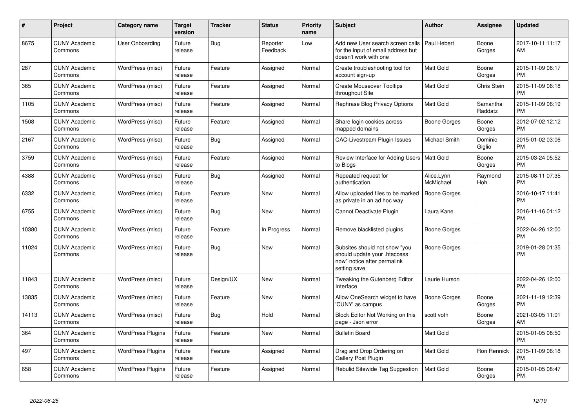| #     | Project                         | <b>Category name</b>     | Target<br>version | <b>Tracker</b> | <b>Status</b>        | <b>Priority</b><br>name | <b>Subject</b>                                                                                               | <b>Author</b>           | <b>Assignee</b>     | <b>Updated</b>                |
|-------|---------------------------------|--------------------------|-------------------|----------------|----------------------|-------------------------|--------------------------------------------------------------------------------------------------------------|-------------------------|---------------------|-------------------------------|
| 8675  | <b>CUNY Academic</b><br>Commons | User Onboarding          | Future<br>release | Bug            | Reporter<br>Feedback | Low                     | Add new User search screen calls<br>for the input of email address but<br>doesn't work with one              | Paul Hebert             | Boone<br>Gorges     | 2017-10-11 11:17<br>AM        |
| 287   | <b>CUNY Academic</b><br>Commons | WordPress (misc)         | Future<br>release | Feature        | Assigned             | Normal                  | Create troubleshooting tool for<br>account sign-up                                                           | Matt Gold               | Boone<br>Gorges     | 2015-11-09 06:17<br><b>PM</b> |
| 365   | <b>CUNY Academic</b><br>Commons | WordPress (misc)         | Future<br>release | Feature        | Assigned             | Normal                  | <b>Create Mouseover Tooltips</b><br>throughout Site                                                          | <b>Matt Gold</b>        | Chris Stein         | 2015-11-09 06:18<br><b>PM</b> |
| 1105  | <b>CUNY Academic</b><br>Commons | WordPress (misc)         | Future<br>release | Feature        | Assigned             | Normal                  | Rephrase Blog Privacy Options                                                                                | Matt Gold               | Samantha<br>Raddatz | 2015-11-09 06:19<br><b>PM</b> |
| 1508  | <b>CUNY Academic</b><br>Commons | WordPress (misc)         | Future<br>release | Feature        | Assigned             | Normal                  | Share login cookies across<br>mapped domains                                                                 | Boone Gorges            | Boone<br>Gorges     | 2012-07-02 12:12<br><b>PM</b> |
| 2167  | <b>CUNY Academic</b><br>Commons | WordPress (misc)         | Future<br>release | Bug            | Assigned             | Normal                  | <b>CAC-Livestream Plugin Issues</b>                                                                          | Michael Smith           | Dominic<br>Giglio   | 2015-01-02 03:06<br><b>PM</b> |
| 3759  | <b>CUNY Academic</b><br>Commons | WordPress (misc)         | Future<br>release | Feature        | Assigned             | Normal                  | Review Interface for Adding Users   Matt Gold<br>to Blogs                                                    |                         | Boone<br>Gorges     | 2015-03-24 05:52<br><b>PM</b> |
| 4388  | <b>CUNY Academic</b><br>Commons | WordPress (misc)         | Future<br>release | Bug            | Assigned             | Normal                  | Repeated request for<br>authentication.                                                                      | Alice.Lynn<br>McMichael | Raymond<br>Hoh      | 2015-08-11 07:35<br><b>PM</b> |
| 6332  | <b>CUNY Academic</b><br>Commons | WordPress (misc)         | Future<br>release | Feature        | <b>New</b>           | Normal                  | Allow uploaded files to be marked<br>as private in an ad hoc way                                             | <b>Boone Gorges</b>     |                     | 2016-10-17 11:41<br><b>PM</b> |
| 6755  | <b>CUNY Academic</b><br>Commons | WordPress (misc)         | Future<br>release | <b>Bug</b>     | New                  | Normal                  | Cannot Deactivate Plugin                                                                                     | Laura Kane              |                     | 2016-11-16 01:12<br><b>PM</b> |
| 10380 | <b>CUNY Academic</b><br>Commons | WordPress (misc)         | Future<br>release | Feature        | In Progress          | Normal                  | Remove blacklisted plugins                                                                                   | Boone Gorges            |                     | 2022-04-26 12:00<br><b>PM</b> |
| 11024 | <b>CUNY Academic</b><br>Commons | WordPress (misc)         | Future<br>release | <b>Bug</b>     | <b>New</b>           | Normal                  | Subsites should not show "you<br>should update your .htaccess<br>now" notice after permalink<br>setting save | Boone Gorges            |                     | 2019-01-28 01:35<br><b>PM</b> |
| 11843 | <b>CUNY Academic</b><br>Commons | WordPress (misc)         | Future<br>release | Design/UX      | <b>New</b>           | Normal                  | Tweaking the Gutenberg Editor<br>Interface                                                                   | Laurie Hurson           |                     | 2022-04-26 12:00<br><b>PM</b> |
| 13835 | <b>CUNY Academic</b><br>Commons | WordPress (misc)         | Future<br>release | Feature        | New                  | Normal                  | Allow OneSearch widget to have<br>'CUNY' as campus                                                           | Boone Gorges            | Boone<br>Gorges     | 2021-11-19 12:39<br><b>PM</b> |
| 14113 | <b>CUNY Academic</b><br>Commons | WordPress (misc)         | Future<br>release | Bug            | Hold                 | Normal                  | Block Editor Not Working on this<br>page - Json error                                                        | scott voth              | Boone<br>Gorges     | 2021-03-05 11:01<br>AM        |
| 364   | <b>CUNY Academic</b><br>Commons | <b>WordPress Plugins</b> | Future<br>release | Feature        | <b>New</b>           | Normal                  | <b>Bulletin Board</b>                                                                                        | Matt Gold               |                     | 2015-01-05 08:50<br><b>PM</b> |
| 497   | <b>CUNY Academic</b><br>Commons | <b>WordPress Plugins</b> | Future<br>release | Feature        | Assigned             | Normal                  | Drag and Drop Ordering on<br><b>Gallery Post Plugin</b>                                                      | Matt Gold               | Ron Rennick         | 2015-11-09 06:18<br><b>PM</b> |
| 658   | <b>CUNY Academic</b><br>Commons | <b>WordPress Plugins</b> | Future<br>release | Feature        | Assigned             | Normal                  | Rebulid Sitewide Tag Suggestion                                                                              | <b>Matt Gold</b>        | Boone<br>Gorges     | 2015-01-05 08:47<br><b>PM</b> |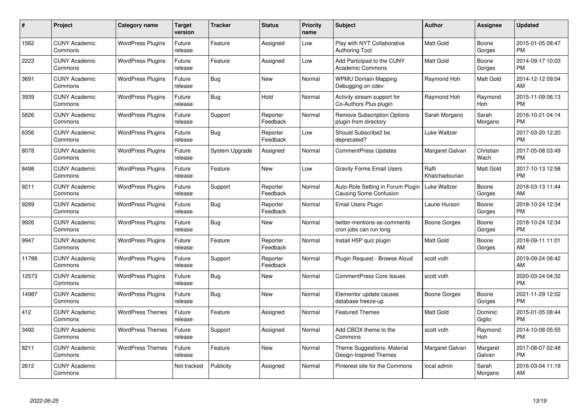| $\#$  | Project                         | <b>Category name</b>     | <b>Target</b><br>version | <b>Tracker</b> | <b>Status</b>        | <b>Priority</b><br>name | <b>Subject</b>                                                     | Author                  | <b>Assignee</b>       | <b>Updated</b>                |
|-------|---------------------------------|--------------------------|--------------------------|----------------|----------------------|-------------------------|--------------------------------------------------------------------|-------------------------|-----------------------|-------------------------------|
| 1562  | <b>CUNY Academic</b><br>Commons | <b>WordPress Plugins</b> | Future<br>release        | Feature        | Assigned             | Low                     | Play with NYT Collaborative<br><b>Authoring Tool</b>               | <b>Matt Gold</b>        | Boone<br>Gorges       | 2015-01-05 08:47<br><b>PM</b> |
| 2223  | <b>CUNY Academic</b><br>Commons | <b>WordPress Plugins</b> | Future<br>release        | Feature        | Assigned             | Low                     | Add Participad to the CUNY<br><b>Academic Commons</b>              | <b>Matt Gold</b>        | Boone<br>Gorges       | 2014-09-17 10:03<br><b>PM</b> |
| 3691  | <b>CUNY Academic</b><br>Commons | <b>WordPress Plugins</b> | Future<br>release        | <b>Bug</b>     | <b>New</b>           | Normal                  | <b>WPMU Domain Mapping</b><br>Debugging on cdev                    | Raymond Hoh             | Matt Gold             | 2014-12-12 09:04<br>AM        |
| 3939  | <b>CUNY Academic</b><br>Commons | <b>WordPress Plugins</b> | Future<br>release        | Bug            | Hold                 | Normal                  | Activity stream support for<br>Co-Authors Plus plugin              | Raymond Hoh             | Raymond<br>Hoh        | 2015-11-09 06:13<br><b>PM</b> |
| 5826  | <b>CUNY Academic</b><br>Commons | <b>WordPress Plugins</b> | Future<br>release        | Support        | Reporter<br>Feedback | Normal                  | <b>Remove Subscription Options</b><br>plugin from directory        | Sarah Morgano           | Sarah<br>Morgano      | 2016-10-21 04:14<br><b>PM</b> |
| 6356  | <b>CUNY Academic</b><br>Commons | <b>WordPress Plugins</b> | Future<br>release        | Bug            | Reporter<br>Feedback | Low                     | Should Subscribe2 be<br>deprecated?                                | Luke Waltzer            |                       | 2017-03-20 12:20<br><b>PM</b> |
| 8078  | <b>CUNY Academic</b><br>Commons | <b>WordPress Plugins</b> | Future<br>release        | System Upgrade | Assigned             | Normal                  | CommentPress Updates                                               | Margaret Galvan         | Christian<br>Wach     | 2017-05-08 03:49<br><b>PM</b> |
| 8498  | <b>CUNY Academic</b><br>Commons | <b>WordPress Plugins</b> | Future<br>release        | Feature        | <b>New</b>           | Low                     | <b>Gravity Forms Email Users</b>                                   | Raffi<br>Khatchadourian | <b>Matt Gold</b>      | 2017-10-13 12:58<br><b>PM</b> |
| 9211  | <b>CUNY Academic</b><br>Commons | <b>WordPress Plugins</b> | Future<br>release        | Support        | Reporter<br>Feedback | Normal                  | Auto-Role Setting in Forum Plugin<br><b>Causing Some Confusion</b> | Luke Waltzer            | Boone<br>Gorges       | 2018-03-13 11:44<br>AM        |
| 9289  | <b>CUNY Academic</b><br>Commons | <b>WordPress Plugins</b> | Future<br>release        | Bug            | Reporter<br>Feedback | Normal                  | Email Users Plugin                                                 | Laurie Hurson           | Boone<br>Gorges       | 2018-10-24 12:34<br><b>PM</b> |
| 9926  | <b>CUNY Academic</b><br>Commons | <b>WordPress Plugins</b> | Future<br>release        | <b>Bug</b>     | New                  | Normal                  | twitter-mentions-as-comments<br>cron jobs can run long             | Boone Gorges            | Boone<br>Gorges       | 2018-10-24 12:34<br><b>PM</b> |
| 9947  | <b>CUNY Academic</b><br>Commons | <b>WordPress Plugins</b> | Future<br>release        | Feature        | Reporter<br>Feedback | Normal                  | Install H5P quiz plugin                                            | <b>Matt Gold</b>        | Boone<br>Gorges       | 2018-09-11 11:01<br>AM        |
| 11788 | <b>CUNY Academic</b><br>Commons | <b>WordPress Plugins</b> | Future<br>release        | Support        | Reporter<br>Feedback | Normal                  | Plugin Request - Browse Aloud                                      | scott voth              |                       | 2019-09-24 08:42<br>AM        |
| 12573 | <b>CUNY Academic</b><br>Commons | <b>WordPress Plugins</b> | Future<br>release        | Bug            | <b>New</b>           | Normal                  | <b>CommentPress Core Issues</b>                                    | scott voth              |                       | 2020-03-24 04:32<br><b>PM</b> |
| 14987 | <b>CUNY Academic</b><br>Commons | <b>WordPress Plugins</b> | Future<br>release        | <b>Bug</b>     | <b>New</b>           | Normal                  | Elementor update causes<br>database freeze-up                      | Boone Gorges            | Boone<br>Gorges       | 2021-11-29 12:02<br><b>PM</b> |
| 412   | <b>CUNY Academic</b><br>Commons | <b>WordPress Themes</b>  | Future<br>release        | Feature        | Assigned             | Normal                  | <b>Featured Themes</b>                                             | <b>Matt Gold</b>        | Dominic<br>Giglio     | 2015-01-05 08:44<br><b>PM</b> |
| 3492  | <b>CUNY Academic</b><br>Commons | <b>WordPress Themes</b>  | Future<br>release        | Support        | Assigned             | Normal                  | Add CBOX theme to the<br>Commons                                   | scott voth              | Raymond<br><b>Hoh</b> | 2014-10-08 05:55<br><b>PM</b> |
| 8211  | <b>CUNY Academic</b><br>Commons | <b>WordPress Themes</b>  | Future<br>release        | Feature        | <b>New</b>           | Normal                  | Theme Suggestions: Material<br>Design-Inspired Themes              | Margaret Galvan         | Margaret<br>Galvan    | 2017-08-07 02:48<br><b>PM</b> |
| 2612  | CUNY Academic<br>Commons        |                          | Not tracked              | Publicity      | Assigned             | Normal                  | Pinterest site for the Commons                                     | local admin             | Sarah<br>Morgano      | 2016-03-04 11:19<br>AM        |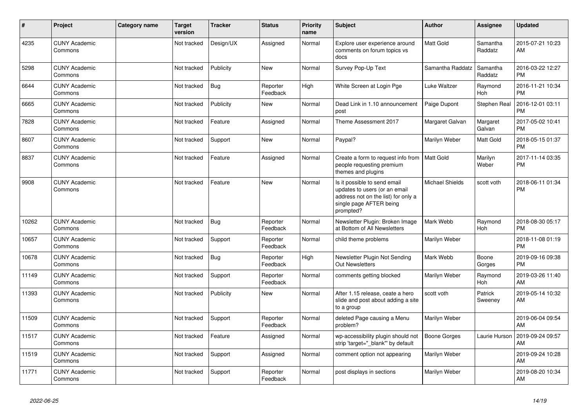| #     | Project                         | <b>Category name</b> | <b>Target</b><br>version | <b>Tracker</b> | <b>Status</b>        | <b>Priority</b><br>name | <b>Subject</b>                                                                                                                               | Author              | Assignee              | <b>Updated</b>                |
|-------|---------------------------------|----------------------|--------------------------|----------------|----------------------|-------------------------|----------------------------------------------------------------------------------------------------------------------------------------------|---------------------|-----------------------|-------------------------------|
| 4235  | <b>CUNY Academic</b><br>Commons |                      | Not tracked              | Design/UX      | Assigned             | Normal                  | Explore user experience around<br>comments on forum topics vs<br>docs                                                                        | <b>Matt Gold</b>    | Samantha<br>Raddatz   | 2015-07-21 10:23<br>AM        |
| 5298  | <b>CUNY Academic</b><br>Commons |                      | Not tracked              | Publicity      | New                  | Normal                  | Survey Pop-Up Text                                                                                                                           | Samantha Raddatz    | Samantha<br>Raddatz   | 2016-03-22 12:27<br><b>PM</b> |
| 6644  | <b>CUNY Academic</b><br>Commons |                      | Not tracked              | Bug            | Reporter<br>Feedback | High                    | White Screen at Login Pge                                                                                                                    | <b>Luke Waltzer</b> | Raymond<br><b>Hoh</b> | 2016-11-21 10:34<br><b>PM</b> |
| 6665  | <b>CUNY Academic</b><br>Commons |                      | Not tracked              | Publicity      | <b>New</b>           | Normal                  | Dead Link in 1.10 announcement<br>post                                                                                                       | Paige Dupont        | Stephen Real          | 2016-12-01 03:11<br><b>PM</b> |
| 7828  | <b>CUNY Academic</b><br>Commons |                      | Not tracked              | Feature        | Assigned             | Normal                  | Theme Assessment 2017                                                                                                                        | Margaret Galvan     | Margaret<br>Galvan    | 2017-05-02 10:41<br><b>PM</b> |
| 8607  | <b>CUNY Academic</b><br>Commons |                      | Not tracked              | Support        | New                  | Normal                  | Paypal?                                                                                                                                      | Marilyn Weber       | Matt Gold             | 2018-05-15 01:37<br><b>PM</b> |
| 8837  | <b>CUNY Academic</b><br>Commons |                      | Not tracked              | Feature        | Assigned             | Normal                  | Create a form to request info from<br>people requesting premium<br>themes and plugins                                                        | Matt Gold           | Marilyn<br>Weber      | 2017-11-14 03:35<br><b>PM</b> |
| 9908  | <b>CUNY Academic</b><br>Commons |                      | Not tracked              | Feature        | <b>New</b>           | Normal                  | Is it possible to send email<br>updates to users (or an email<br>address not on the list) for only a<br>single page AFTER being<br>prompted? | Michael Shields     | scott voth            | 2018-06-11 01:34<br><b>PM</b> |
| 10262 | <b>CUNY Academic</b><br>Commons |                      | Not tracked              | Bug            | Reporter<br>Feedback | Normal                  | Newsletter Plugin: Broken Image<br>at Bottom of All Newsletters                                                                              | Mark Webb           | Raymond<br><b>Hoh</b> | 2018-08-30 05:17<br><b>PM</b> |
| 10657 | <b>CUNY Academic</b><br>Commons |                      | Not tracked              | Support        | Reporter<br>Feedback | Normal                  | child theme problems                                                                                                                         | Marilyn Weber       |                       | 2018-11-08 01:19<br><b>PM</b> |
| 10678 | <b>CUNY Academic</b><br>Commons |                      | Not tracked              | <b>Bug</b>     | Reporter<br>Feedback | High                    | Newsletter Plugin Not Sending<br><b>Out Newsletters</b>                                                                                      | Mark Webb           | Boone<br>Gorges       | 2019-09-16 09:38<br><b>PM</b> |
| 11149 | <b>CUNY Academic</b><br>Commons |                      | Not tracked              | Support        | Reporter<br>Feedback | Normal                  | comments getting blocked                                                                                                                     | Marilyn Weber       | Raymond<br>Hoh        | 2019-03-26 11:40<br>AM        |
| 11393 | <b>CUNY Academic</b><br>Commons |                      | Not tracked              | Publicity      | New                  | Normal                  | After 1.15 release, ceate a hero<br>slide and post about adding a site<br>to a group                                                         | scott voth          | Patrick<br>Sweeney    | 2019-05-14 10:32<br>AM        |
| 11509 | <b>CUNY Academic</b><br>Commons |                      | Not tracked              | Support        | Reporter<br>Feedback | Normal                  | deleted Page causing a Menu<br>problem?                                                                                                      | Marilyn Weber       |                       | 2019-06-04 09:54<br>AM        |
| 11517 | <b>CUNY Academic</b><br>Commons |                      | Not tracked              | Feature        | Assigned             | Normal                  | wp-accessibility plugin should not<br>strip 'target=" blank" by default                                                                      | <b>Boone Gorges</b> | Laurie Hurson         | 2019-09-24 09:57<br>AM        |
| 11519 | <b>CUNY Academic</b><br>Commons |                      | Not tracked              | Support        | Assigned             | Normal                  | comment option not appearing                                                                                                                 | Marilyn Weber       |                       | 2019-09-24 10:28<br>AM        |
| 11771 | <b>CUNY Academic</b><br>Commons |                      | Not tracked              | Support        | Reporter<br>Feedback | Normal                  | post displays in sections                                                                                                                    | Marilyn Weber       |                       | 2019-08-20 10:34<br>AM        |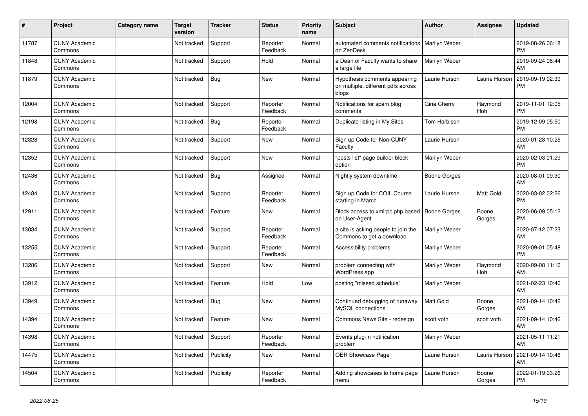| #     | Project                         | <b>Category name</b> | <b>Target</b><br>version | <b>Tracker</b> | <b>Status</b>        | <b>Priority</b><br>name | <b>Subject</b>                                                               | Author              | <b>Assignee</b> | <b>Updated</b>                |
|-------|---------------------------------|----------------------|--------------------------|----------------|----------------------|-------------------------|------------------------------------------------------------------------------|---------------------|-----------------|-------------------------------|
| 11787 | <b>CUNY Academic</b><br>Commons |                      | Not tracked              | Support        | Reporter<br>Feedback | Normal                  | automated comments notifications<br>on ZenDesk                               | Marilyn Weber       |                 | 2019-08-26 06:18<br><b>PM</b> |
| 11848 | <b>CUNY Academic</b><br>Commons |                      | Not tracked              | Support        | Hold                 | Normal                  | a Dean of Faculty wants to share<br>a large file                             | Marilyn Weber       |                 | 2019-09-24 08:44<br>AM        |
| 11879 | <b>CUNY Academic</b><br>Commons |                      | Not tracked              | <b>Bug</b>     | <b>New</b>           | Normal                  | Hypothesis comments appearing<br>on multiple, different pdfs across<br>blogs | Laurie Hurson       | Laurie Hurson   | 2019-09-19 02:39<br><b>PM</b> |
| 12004 | <b>CUNY Academic</b><br>Commons |                      | Not tracked              | Support        | Reporter<br>Feedback | Normal                  | Notifications for spam blog<br>comments                                      | Gina Cherry         | Raymond<br>Hoh  | 2019-11-01 12:05<br><b>PM</b> |
| 12198 | <b>CUNY Academic</b><br>Commons |                      | Not tracked              | Bug            | Reporter<br>Feedback | Normal                  | Duplicate listing in My Sites                                                | Tom Harbison        |                 | 2019-12-09 05:50<br><b>PM</b> |
| 12328 | <b>CUNY Academic</b><br>Commons |                      | Not tracked              | Support        | <b>New</b>           | Normal                  | Sign up Code for Non-CUNY<br>Faculty                                         | Laurie Hurson       |                 | 2020-01-28 10:25<br>AM        |
| 12352 | <b>CUNY Academic</b><br>Commons |                      | Not tracked              | Support        | <b>New</b>           | Normal                  | 'posts list" page builder block<br>option                                    | Marilyn Weber       |                 | 2020-02-03 01:29<br><b>PM</b> |
| 12436 | <b>CUNY Academic</b><br>Commons |                      | Not tracked              | <b>Bug</b>     | Assigned             | Normal                  | Nightly system downtime                                                      | <b>Boone Gorges</b> |                 | 2020-08-01 09:30<br>AM        |
| 12484 | <b>CUNY Academic</b><br>Commons |                      | Not tracked              | Support        | Reporter<br>Feedback | Normal                  | Sign up Code for COIL Course<br>starting in March                            | Laurie Hurson       | Matt Gold       | 2020-03-02 02:26<br><b>PM</b> |
| 12911 | <b>CUNY Academic</b><br>Commons |                      | Not tracked              | Feature        | <b>New</b>           | Normal                  | Block access to xmlrpc.php based<br>on User-Agent                            | <b>Boone Gorges</b> | Boone<br>Gorges | 2020-06-09 05:12<br><b>PM</b> |
| 13034 | <b>CUNY Academic</b><br>Commons |                      | Not tracked              | Support        | Reporter<br>Feedback | Normal                  | a site is asking people to join the<br>Commons to get a download             | Marilyn Weber       |                 | 2020-07-12 07:23<br>AM        |
| 13255 | <b>CUNY Academic</b><br>Commons |                      | Not tracked              | Support        | Reporter<br>Feedback | Normal                  | Accessibility problems                                                       | Marilyn Weber       |                 | 2020-09-01 05:48<br><b>PM</b> |
| 13286 | <b>CUNY Academic</b><br>Commons |                      | Not tracked              | Support        | <b>New</b>           | Normal                  | problem connecting with<br>WordPress app                                     | Marilyn Weber       | Raymond<br>Hoh  | 2020-09-08 11:16<br>AM        |
| 13912 | <b>CUNY Academic</b><br>Commons |                      | Not tracked              | Feature        | Hold                 | Low                     | posting "missed schedule"                                                    | Marilyn Weber       |                 | 2021-02-23 10:46<br>AM        |
| 13949 | <b>CUNY Academic</b><br>Commons |                      | Not tracked              | <b>Bug</b>     | New                  | Normal                  | Continued debugging of runaway<br>MySQL connections                          | <b>Matt Gold</b>    | Boone<br>Gorges | 2021-09-14 10:42<br>AM        |
| 14394 | <b>CUNY Academic</b><br>Commons |                      | Not tracked              | Feature        | <b>New</b>           | Normal                  | Commons News Site - redesign                                                 | scott voth          | scott voth      | 2021-09-14 10:46<br>AM        |
| 14398 | <b>CUNY Academic</b><br>Commons |                      | Not tracked              | Support        | Reporter<br>Feedback | Normal                  | Events plug-in notification<br>problem                                       | Marilyn Weber       |                 | 2021-05-11 11:21<br>AM        |
| 14475 | <b>CUNY Academic</b><br>Commons |                      | Not tracked              | Publicity      | New                  | Normal                  | <b>OER Showcase Page</b>                                                     | Laurie Hurson       | Laurie Hurson   | 2021-09-14 10:46<br>AM        |
| 14504 | <b>CUNY Academic</b><br>Commons |                      | Not tracked              | Publicity      | Reporter<br>Feedback | Normal                  | Adding showcases to home page<br>menu                                        | Laurie Hurson       | Boone<br>Gorges | 2022-01-19 03:26<br><b>PM</b> |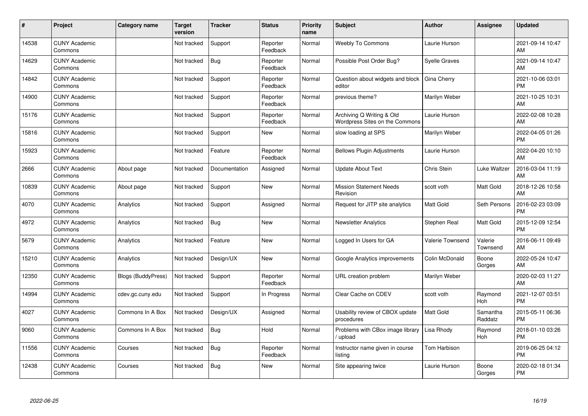| #     | Project                         | <b>Category name</b>      | <b>Target</b><br>version | <b>Tracker</b> | <b>Status</b>        | <b>Priority</b><br>name | <b>Subject</b>                                              | Author               | <b>Assignee</b>     | <b>Updated</b>                |
|-------|---------------------------------|---------------------------|--------------------------|----------------|----------------------|-------------------------|-------------------------------------------------------------|----------------------|---------------------|-------------------------------|
| 14538 | <b>CUNY Academic</b><br>Commons |                           | Not tracked              | Support        | Reporter<br>Feedback | Normal                  | <b>Weebly To Commons</b>                                    | Laurie Hurson        |                     | 2021-09-14 10:47<br>AM        |
| 14629 | <b>CUNY Academic</b><br>Commons |                           | Not tracked              | Bug            | Reporter<br>Feedback | Normal                  | Possible Post Order Bug?                                    | <b>Syelle Graves</b> |                     | 2021-09-14 10:47<br>AM        |
| 14842 | <b>CUNY Academic</b><br>Commons |                           | Not tracked              | Support        | Reporter<br>Feedback | Normal                  | Question about widgets and block<br>editor                  | Gina Cherry          |                     | 2021-10-06 03:01<br><b>PM</b> |
| 14900 | <b>CUNY Academic</b><br>Commons |                           | Not tracked              | Support        | Reporter<br>Feedback | Normal                  | previous theme?                                             | Marilyn Weber        |                     | 2021-10-25 10:31<br>AM        |
| 15176 | <b>CUNY Academic</b><br>Commons |                           | Not tracked              | Support        | Reporter<br>Feedback | Normal                  | Archiving Q Writing & Old<br>Wordpress Sites on the Commons | Laurie Hurson        |                     | 2022-02-08 10:28<br>AM        |
| 15816 | <b>CUNY Academic</b><br>Commons |                           | Not tracked              | Support        | <b>New</b>           | Normal                  | slow loading at SPS                                         | Marilyn Weber        |                     | 2022-04-05 01:26<br>PM        |
| 15923 | <b>CUNY Academic</b><br>Commons |                           | Not tracked              | Feature        | Reporter<br>Feedback | Normal                  | <b>Bellows Plugin Adjustments</b>                           | Laurie Hurson        |                     | 2022-04-20 10:10<br>AM        |
| 2666  | <b>CUNY Academic</b><br>Commons | About page                | Not tracked              | Documentation  | Assigned             | Normal                  | <b>Update About Text</b>                                    | Chris Stein          | Luke Waltzer        | 2016-03-04 11:19<br>AM        |
| 10839 | <b>CUNY Academic</b><br>Commons | About page                | Not tracked              | Support        | New                  | Normal                  | <b>Mission Statement Needs</b><br>Revision                  | scott voth           | Matt Gold           | 2018-12-26 10:58<br>AM        |
| 4070  | <b>CUNY Academic</b><br>Commons | Analytics                 | Not tracked              | Support        | Assigned             | Normal                  | Request for JITP site analytics                             | <b>Matt Gold</b>     | Seth Persons        | 2016-02-23 03:09<br><b>PM</b> |
| 4972  | <b>CUNY Academic</b><br>Commons | Analytics                 | Not tracked              | Bug            | New                  | Normal                  | <b>Newsletter Analytics</b>                                 | Stephen Real         | Matt Gold           | 2015-12-09 12:54<br><b>PM</b> |
| 5679  | <b>CUNY Academic</b><br>Commons | Analytics                 | Not tracked              | Feature        | <b>New</b>           | Normal                  | Logged In Users for GA                                      | Valerie Townsend     | Valerie<br>Townsend | 2016-06-11 09:49<br>AM        |
| 15210 | <b>CUNY Academic</b><br>Commons | Analytics                 | Not tracked              | Design/UX      | <b>New</b>           | Normal                  | Google Analytics improvements                               | Colin McDonald       | Boone<br>Gorges     | 2022-05-24 10:47<br>AM        |
| 12350 | <b>CUNY Academic</b><br>Commons | <b>Blogs (BuddyPress)</b> | Not tracked              | Support        | Reporter<br>Feedback | Normal                  | URL creation problem                                        | Marilyn Weber        |                     | 2020-02-03 11:27<br>AM        |
| 14994 | <b>CUNY Academic</b><br>Commons | cdev.gc.cuny.edu          | Not tracked              | Support        | In Progress          | Normal                  | Clear Cache on CDEV                                         | scott voth           | Raymond<br>Hoh      | 2021-12-07 03:51<br><b>PM</b> |
| 4027  | <b>CUNY Academic</b><br>Commons | Commons In A Box          | Not tracked              | Design/UX      | Assigned             | Normal                  | Usability review of CBOX update<br>procedures               | Matt Gold            | Samantha<br>Raddatz | 2015-05-11 06:36<br><b>PM</b> |
| 9060  | <b>CUNY Academic</b><br>Commons | Commons In A Box          | Not tracked              | Bug            | Hold                 | Normal                  | Problems with CBox image library<br>upload                  | Lisa Rhody           | Raymond<br>Hoh      | 2018-01-10 03:26<br><b>PM</b> |
| 11556 | <b>CUNY Academic</b><br>Commons | Courses                   | Not tracked              | Bug            | Reporter<br>Feedback | Normal                  | Instructor name given in course<br>listing                  | Tom Harbison         |                     | 2019-06-25 04:12<br><b>PM</b> |
| 12438 | <b>CUNY Academic</b><br>Commons | Courses                   | Not tracked              | <b>Bug</b>     | <b>New</b>           | Normal                  | Site appearing twice                                        | Laurie Hurson        | Boone<br>Gorges     | 2020-02-18 01:34<br><b>PM</b> |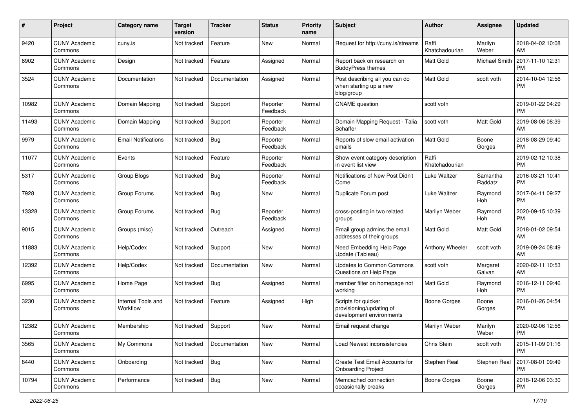| #     | Project                         | <b>Category name</b>           | <b>Target</b><br>version | <b>Tracker</b> | <b>Status</b>        | <b>Priority</b><br>name | Subject                                                                     | Author                  | <b>Assignee</b>     | <b>Updated</b>                |
|-------|---------------------------------|--------------------------------|--------------------------|----------------|----------------------|-------------------------|-----------------------------------------------------------------------------|-------------------------|---------------------|-------------------------------|
| 9420  | <b>CUNY Academic</b><br>Commons | cuny.is                        | Not tracked              | Feature        | New                  | Normal                  | Request for http://cuny.is/streams                                          | Raffi<br>Khatchadourian | Marilyn<br>Weber    | 2018-04-02 10:08<br>AM        |
| 8902  | <b>CUNY Academic</b><br>Commons | Design                         | Not tracked              | Feature        | Assigned             | Normal                  | Report back on research on<br><b>BuddyPress themes</b>                      | Matt Gold               | Michael Smith       | 2017-11-10 12:31<br><b>PM</b> |
| 3524  | <b>CUNY Academic</b><br>Commons | Documentation                  | Not tracked              | Documentation  | Assigned             | Normal                  | Post describing all you can do<br>when starting up a new<br>blog/group      | <b>Matt Gold</b>        | scott voth          | 2014-10-04 12:56<br><b>PM</b> |
| 10982 | <b>CUNY Academic</b><br>Commons | Domain Mapping                 | Not tracked              | Support        | Reporter<br>Feedback | Normal                  | <b>CNAME</b> question                                                       | scott voth              |                     | 2019-01-22 04:29<br><b>PM</b> |
| 11493 | <b>CUNY Academic</b><br>Commons | Domain Mapping                 | Not tracked              | Support        | Reporter<br>Feedback | Normal                  | Domain Mapping Request - Talia<br>Schaffer                                  | scott voth              | Matt Gold           | 2019-08-06 08:39<br>AM        |
| 9979  | <b>CUNY Academic</b><br>Commons | <b>Email Notifications</b>     | Not tracked              | <b>Bug</b>     | Reporter<br>Feedback | Normal                  | Reports of slow email activation<br>emails                                  | <b>Matt Gold</b>        | Boone<br>Gorges     | 2018-08-29 09:40<br><b>PM</b> |
| 11077 | <b>CUNY Academic</b><br>Commons | Events                         | Not tracked              | Feature        | Reporter<br>Feedback | Normal                  | Show event category description<br>in event list view                       | Raffi<br>Khatchadourian |                     | 2019-02-12 10:38<br><b>PM</b> |
| 5317  | <b>CUNY Academic</b><br>Commons | Group Blogs                    | Not tracked              | <b>Bug</b>     | Reporter<br>Feedback | Normal                  | Notifications of New Post Didn't<br>Come                                    | Luke Waltzer            | Samantha<br>Raddatz | 2016-03-21 10:41<br><b>PM</b> |
| 7928  | <b>CUNY Academic</b><br>Commons | Group Forums                   | Not tracked              | <b>Bug</b>     | New                  | Normal                  | Duplicate Forum post                                                        | Luke Waltzer            | Raymond<br>Hoh      | 2017-04-11 09:27<br>PM        |
| 13328 | <b>CUNY Academic</b><br>Commons | Group Forums                   | Not tracked              | <b>Bug</b>     | Reporter<br>Feedback | Normal                  | cross-posting in two related<br>groups                                      | Marilyn Weber           | Raymond<br>Hoh      | 2020-09-15 10:39<br><b>PM</b> |
| 9015  | <b>CUNY Academic</b><br>Commons | Groups (misc)                  | Not tracked              | Outreach       | Assigned             | Normal                  | Email group admins the email<br>addresses of their groups                   | <b>Matt Gold</b>        | Matt Gold           | 2018-01-02 09:54<br>AM        |
| 11883 | <b>CUNY Academic</b><br>Commons | Help/Codex                     | Not tracked              | Support        | New                  | Normal                  | Need Embedding Help Page<br>Update (Tableau)                                | Anthony Wheeler         | scott voth          | 2019-09-24 08:49<br>AM        |
| 12392 | <b>CUNY Academic</b><br>Commons | Help/Codex                     | Not tracked              | Documentation  | <b>New</b>           | Normal                  | <b>Updates to Common Commons</b><br>Questions on Help Page                  | scott voth              | Margaret<br>Galvan  | 2020-02-11 10:53<br>AM        |
| 6995  | <b>CUNY Academic</b><br>Commons | Home Page                      | Not tracked              | <b>Bug</b>     | Assigned             | Normal                  | member filter on homepage not<br>working                                    | <b>Matt Gold</b>        | Raymond<br>Hoh      | 2016-12-11 09:46<br><b>PM</b> |
| 3230  | <b>CUNY Academic</b><br>Commons | Internal Tools and<br>Workflow | Not tracked              | Feature        | Assigned             | High                    | Scripts for quicker<br>provisioning/updating of<br>development environments | <b>Boone Gorges</b>     | Boone<br>Gorges     | 2016-01-26 04:54<br><b>PM</b> |
| 12382 | <b>CUNY Academic</b><br>Commons | Membership                     | Not tracked              | Support        | New                  | Normal                  | Email request change                                                        | Marilyn Weber           | Marilyn<br>Weber    | 2020-02-06 12:56<br>PM        |
| 3565  | <b>CUNY Academic</b><br>Commons | My Commons                     | Not tracked              | Documentation  | New                  | Normal                  | Load Newest inconsistencies                                                 | Chris Stein             | scott voth          | 2015-11-09 01:16<br>PM        |
| 8440  | <b>CUNY Academic</b><br>Commons | Onboarding                     | Not tracked              | <b>Bug</b>     | New                  | Normal                  | Create Test Email Accounts for<br><b>Onboarding Project</b>                 | Stephen Real            | Stephen Real        | 2017-08-01 09:49<br><b>PM</b> |
| 10794 | <b>CUNY Academic</b><br>Commons | Performance                    | Not tracked              | <b>Bug</b>     | New                  | Normal                  | Memcached connection<br>occasionally breaks                                 | Boone Gorges            | Boone<br>Gorges     | 2018-12-06 03:30<br>PM        |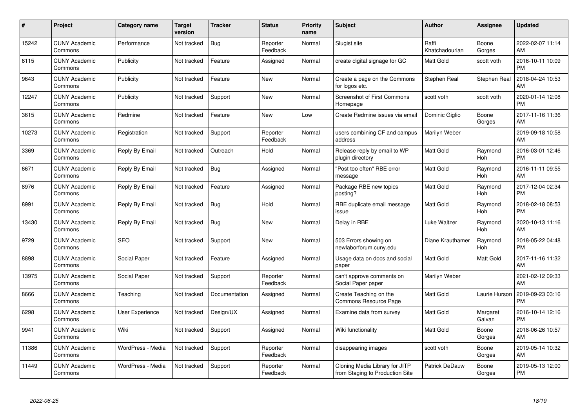| #     | Project                         | <b>Category name</b> | <b>Target</b><br>version | <b>Tracker</b> | <b>Status</b>        | <b>Priority</b><br>name | <b>Subject</b>                                                    | <b>Author</b>           | <b>Assignee</b>       | <b>Updated</b>                |
|-------|---------------------------------|----------------------|--------------------------|----------------|----------------------|-------------------------|-------------------------------------------------------------------|-------------------------|-----------------------|-------------------------------|
| 15242 | <b>CUNY Academic</b><br>Commons | Performance          | Not tracked              | Bug            | Reporter<br>Feedback | Normal                  | Slugist site                                                      | Raffi<br>Khatchadourian | Boone<br>Gorges       | 2022-02-07 11:14<br>AM        |
| 6115  | <b>CUNY Academic</b><br>Commons | Publicity            | Not tracked              | Feature        | Assigned             | Normal                  | create digital signage for GC                                     | <b>Matt Gold</b>        | scott voth            | 2016-10-11 10:09<br><b>PM</b> |
| 9643  | <b>CUNY Academic</b><br>Commons | Publicity            | Not tracked              | Feature        | <b>New</b>           | Normal                  | Create a page on the Commons<br>for logos etc.                    | Stephen Real            | <b>Stephen Real</b>   | 2018-04-24 10:53<br>AM        |
| 12247 | <b>CUNY Academic</b><br>Commons | Publicity            | Not tracked              | Support        | <b>New</b>           | Normal                  | Screenshot of First Commons<br>Homepage                           | scott voth              | scott voth            | 2020-01-14 12:08<br><b>PM</b> |
| 3615  | <b>CUNY Academic</b><br>Commons | Redmine              | Not tracked              | Feature        | <b>New</b>           | Low                     | Create Redmine issues via email                                   | Dominic Giglio          | Boone<br>Gorges       | 2017-11-16 11:36<br>AM        |
| 10273 | <b>CUNY Academic</b><br>Commons | Registration         | Not tracked              | Support        | Reporter<br>Feedback | Normal                  | users combining CF and campus<br>address                          | Marilyn Weber           |                       | 2019-09-18 10:58<br>AM        |
| 3369  | <b>CUNY Academic</b><br>Commons | Reply By Email       | Not tracked              | Outreach       | Hold                 | Normal                  | Release reply by email to WP<br>plugin directory                  | <b>Matt Gold</b>        | Raymond<br>Hoh        | 2016-03-01 12:46<br><b>PM</b> |
| 6671  | <b>CUNY Academic</b><br>Commons | Reply By Email       | Not tracked              | Bug            | Assigned             | Normal                  | "Post too often" RBE error<br>message                             | <b>Matt Gold</b>        | Raymond<br>Hoh        | 2016-11-11 09:55<br>AM        |
| 8976  | <b>CUNY Academic</b><br>Commons | Reply By Email       | Not tracked              | Feature        | Assigned             | Normal                  | Package RBE new topics<br>posting?                                | <b>Matt Gold</b>        | Raymond<br><b>Hoh</b> | 2017-12-04 02:34<br><b>PM</b> |
| 8991  | <b>CUNY Academic</b><br>Commons | Reply By Email       | Not tracked              | Bug            | Hold                 | Normal                  | RBE duplicate email message<br>issue                              | <b>Matt Gold</b>        | Raymond<br>Hoh        | 2018-02-18 08:53<br><b>PM</b> |
| 13430 | <b>CUNY Academic</b><br>Commons | Reply By Email       | Not tracked              | <b>Bug</b>     | <b>New</b>           | Normal                  | Delay in RBE                                                      | Luke Waltzer            | Raymond<br>Hoh        | 2020-10-13 11:16<br>AM        |
| 9729  | <b>CUNY Academic</b><br>Commons | SEO                  | Not tracked              | Support        | <b>New</b>           | Normal                  | 503 Errors showing on<br>newlaborforum.cuny.edu                   | Diane Krauthamer        | Raymond<br><b>Hoh</b> | 2018-05-22 04:48<br><b>PM</b> |
| 8898  | <b>CUNY Academic</b><br>Commons | Social Paper         | Not tracked              | Feature        | Assigned             | Normal                  | Usage data on docs and social<br>paper                            | <b>Matt Gold</b>        | Matt Gold             | 2017-11-16 11:32<br>AM        |
| 13975 | <b>CUNY Academic</b><br>Commons | Social Paper         | Not tracked              | Support        | Reporter<br>Feedback | Normal                  | can't approve comments on<br>Social Paper paper                   | Marilyn Weber           |                       | 2021-02-12 09:33<br>AM        |
| 8666  | <b>CUNY Academic</b><br>Commons | Teaching             | Not tracked              | Documentation  | Assigned             | Normal                  | Create Teaching on the<br>Commons Resource Page                   | <b>Matt Gold</b>        | Laurie Hurson         | 2019-09-23 03:16<br><b>PM</b> |
| 6298  | <b>CUNY Academic</b><br>Commons | User Experience      | Not tracked              | Design/UX      | Assigned             | Normal                  | Examine data from survey                                          | <b>Matt Gold</b>        | Margaret<br>Galvan    | 2016-10-14 12:16<br><b>PM</b> |
| 9941  | <b>CUNY Academic</b><br>Commons | Wiki                 | Not tracked              | Support        | Assigned             | Normal                  | Wiki functionality                                                | <b>Matt Gold</b>        | Boone<br>Gorges       | 2018-06-26 10:57<br>AM        |
| 11386 | <b>CUNY Academic</b><br>Commons | WordPress - Media    | Not tracked              | Support        | Reporter<br>Feedback | Normal                  | disappearing images                                               | scott voth              | Boone<br>Gorges       | 2019-05-14 10:32<br>AM        |
| 11449 | <b>CUNY Academic</b><br>Commons | WordPress - Media    | Not tracked              | Support        | Reporter<br>Feedback | Normal                  | Cloning Media Library for JITP<br>from Staging to Production Site | Patrick DeDauw          | Boone<br>Gorges       | 2019-05-13 12:00<br>PM        |